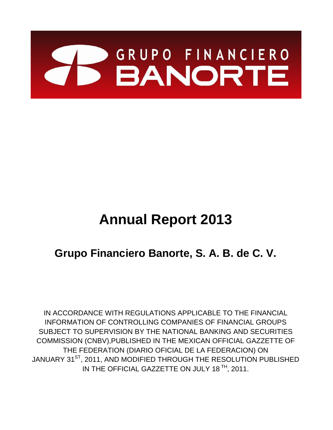

# **Annual Report 2013**

# **Grupo Financiero Banorte, S. A. B. de C. V.**

IN ACCORDANCE WITH REGULATIONS APPLICABLE TO THE FINANCIAL INFORMATION OF CONTROLLING COMPANIES OF FINANCIAL GROUPS SUBJECT TO SUPERVISION BY THE NATIONAL BANKING AND SECURITIES COMMISSION (CNBV),PUBLISHED IN THE MEXICAN OFFICIAL GAZZETTE OF THE FEDERATION (DIARIO OFICIAL DE LA FEDERACION) ON JANUARY 31<sup>ST</sup>, 2011, AND MODIFIED THROUGH THE RESOLUTION PUBLISHED IN THE OFFICIAL GAZZETTE ON JULY 18<sup>TH</sup>, 2011.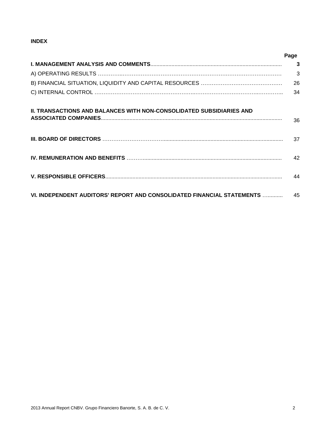#### **INDEX**

|                                                                             | Page |
|-----------------------------------------------------------------------------|------|
|                                                                             | 3    |
|                                                                             | 3    |
|                                                                             | 26   |
|                                                                             | 34   |
| <b>II. TRANSACTIONS AND BALANCES WITH NON-CONSOLIDATED SUBSIDIARIES AND</b> | 36   |
|                                                                             |      |
|                                                                             | 37   |
|                                                                             | 42   |
|                                                                             | 44   |
| VI. INDEPENDENT AUDITORS' REPORT AND CONSOLIDATED FINANCIAL STATEMENTS      | 45   |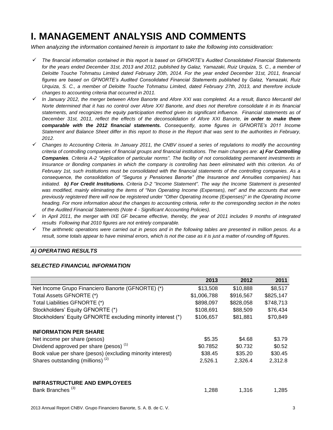### **I. MANAGEMENT ANALYSIS AND COMMENTS**

*When analyzing the information contained herein is important to take the following into consideration:* 

- *The financial information contained in this report is based on GFNORTE's Audited Consolidated Financial Statements for the years ended December 31st, 2013 and 2012, published by Galaz, Yamazaki, Ruiz Urquiza, S. C., a member of Deloitte Touche Tohmatsu Limited dated February 20th, 2014. For the year ended December 31st, 2011, financial figures are based on GFNORTE's Audited Consolidated Financial Statements published by Galaz, Yamazaki, Ruiz Urquiza, S. C., a member of Deloitte Touche Tohmatsu Limited, dated February 27th, 2013, and therefore include changes to accounting criteria that occurred in 2011.*
- *In January 2012, the merger between Afore Banorte and Afore XXI was completed. As a result, Banco Mercantil del Norte determined that it has no control over Afore XXI Banorte, and does not therefore consolidate it in its financial statements, and recognizes the equity participation method given its significant influence. Financial statements as of December 31st, 2011, reflect the effects of the deconsolidation of Afore XXI Banorte, in order to make them comparable with the 2012 financial statements. Consequently, some figures in GFNORTE's 2011 Income Statement and Balance Sheet differ in this report to those in the Report that was sent to the authorities in February, 2012.*
- *Changes to Accounting Criteria. In January 2011, the CNBV issued a series of regulations to modify the accounting criteria of controlling companies of financial groups and financial institutions. The main changes are: a) For Controlling Companies. Criteria A-2 "Application of particular norms". The facility of not consolidating permanent investments in Insurance or Bonding companies in which the company is controlling has been eliminated with this criterion. As of February 1st, such institutions must be consolidated with the financial statements of the controlling companies. As a consequence, the consolidation of "Seguros y Pensiones Banorte" (the Insurance and Annuities companies) has initiated. b) For Credit Institutions. Criteria D-2 "Income Statement". The way the Income Statement is presented was modified, mainly eliminating the items of "Non Operating Income (Expenses), net" and the accounts that were previously registered there will now be registered under "Other Operating Income (Expenses)" in the Operating Income heading. For more information about the changes to accounting criteria, refer to the corresponding section in the notes of the Audited Financial Statements (Note 4 - Significant Accounting Policies).*
- *In April 2011, the merger with IXE GF became effective, thereby, the year of 2011 includes 9 months of integrated results Following that 2010 figures are not entirely comparable.*
- *The arithmetic operations were carried out in pesos and in the following tables are presented in million pesos. As a result, some totals appear to have minimal errors, which is not the case as it is just a matter of rounding off figures.*

#### *A) OPERATING RESULTS*

|                                                              | 2013        | 2012      | 2011      |
|--------------------------------------------------------------|-------------|-----------|-----------|
| Net Income Grupo Financiero Banorte (GFNORTE) (*)            | \$13,508    | \$10,888  | \$8,517   |
| Total Assets GFNORTE (*)                                     | \$1,006,788 | \$916,567 | \$825,147 |
| Total Liabilities GFNORTE (*)                                | \$898,097   | \$828,058 | \$748,713 |
| Stockholders' Equity GFNORTE (*)                             | \$108,691   | \$88,509  | \$76,434  |
| Stockholders' Equity GFNORTE excluding minority interest (*) | \$106,657   | \$81,881  | \$70,849  |
| <b>INFORMATION PER SHARE</b>                                 |             |           |           |
| Net income per share (pesos)                                 | \$5.35      | \$4.68    | \$3.79    |
| Dividend approved per share (pesos) <sup>(1)</sup>           | \$0.7852    | \$0.732   | \$0.52    |
| Book value per share (pesos) (excluding minority interest)   | \$38.45     | \$35.20   | \$30.45   |
| Shares outstanding (millions) <sup>(2)</sup>                 | 2,526.1     | 2,326.4   | 2,312.8   |
| <b>INFRASTRUCTURE AND EMPLOYEES</b>                          |             |           |           |
| Bank Branches <sup>(3)</sup>                                 | 1,288       | 1,316     | 1,285     |

#### *SELECTED FINANCIAL INFORMATION*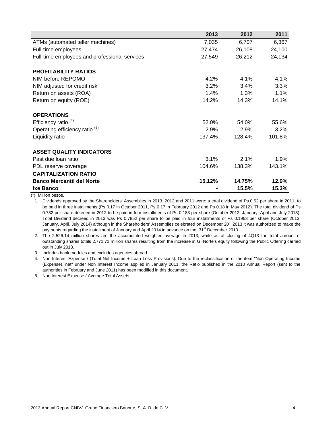|                                               | 2013    | 2012    | 2011   |
|-----------------------------------------------|---------|---------|--------|
| ATMs (automated teller machines)              | 7,035   | 6,707   | 6,367  |
| Full-time employees                           | 27,474  | 26,108  | 24,100 |
| Full-time employees and professional services | 27,549  | 26,212  | 24,134 |
| <b>PROFITABILITY RATIOS</b>                   |         |         |        |
| NIM before REPOMO                             | 4.2%    | 4.1%    | 4.1%   |
| NIM adjusted for credit risk                  | 3.2%    | 3.4%    | 3.3%   |
| Return on assets (ROA)                        | $1.4\%$ | $1.3\%$ | 1.1%   |
| Return on equity (ROE)                        | 14.2%   | 14.3%   | 14.1%  |
| <b>OPERATIONS</b>                             |         |         |        |
| Efficiency ratio <sup>(4)</sup>               | 52.0%   | 54.0%   | 55.6%  |
| Operating efficiency ratio <sup>(5)</sup>     | 2.9%    | 2.9%    | 3.2%   |
| Liquidity ratio                               | 137.4%  | 128.4%  | 101.8% |
| <b>ASSET QUALITY INDICATORS</b>               |         |         |        |
| Past due loan ratio                           | 3.1%    | 2.1%    | 1.9%   |
| PDL reserve coverage                          | 104.6%  | 138.3%  | 143.1% |
| <b>CAPITALIZATION RATIO</b>                   |         |         |        |
| <b>Banco Mercantil del Norte</b>              | 15.12%  | 14.75%  | 12.9%  |
| Ixe Banco                                     |         | 15.5%   | 15.3%  |

(\*) Million pesos.

1. Dividends approved by the Shareholders' Assemblies in 2013, 2012 and 2011 were: a total dividend of Ps.0.52 per share in 2011, to be paid in three installments (Ps 0.17 in October 2011, Ps 0.17 in February 2012 and Ps 0.18 in May 2012). The total dividend of Ps 0.732 per share decreed in 2012 to be paid in four installments of Ps 0.183 per share (October 2012, January, April and July 2013). Total Dividend decreed in 2013 was Ps 0.7852 per share to be paid in four installments of Ps 0.1963 per share (October 2013, January, April, July 2014) although in the Shareholders' Assemblies celebrated on December 20<sup>th</sup> 2013 it was authorized to make the payments regarding the installment of January and April 2014 in advance on the 31<sup>st</sup> December 2013.

2. The 2,526.14 million shares are the accumulated weighted average in 2013; while as of closing of 4Q13 the total amount of outstanding shares totals 2,773.73 million shares resulting from the increase in GFNorte's equity following the Public Offering carried out in July 2013.

3. Includes bank modules and excludes agencies abroad.

4. Non Interest Expense / (Total Net Income + Loan Loss Provisions). Due to the reclassification of the item "Non Operating Income (Expense), net" under Non Interest Income applied in January 2011, the Ratio published in the 2010 Annual Report (sent to the authorities in February and June 2011) has been modified in this document.

5. Non Interest Expense / Average Total Assets.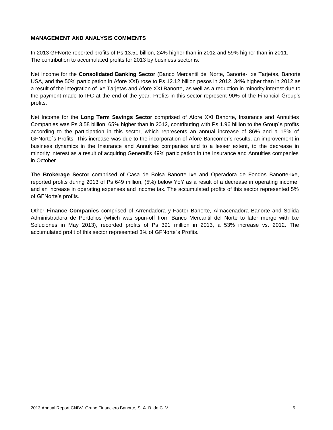#### **MANAGEMENT AND ANALYSIS COMMENTS**

In 2013 GFNorte reported profits of Ps 13.51 billion, 24% higher than in 2012 and 59% higher than in 2011. The contribution to accumulated profits for 2013 by business sector is:

Net Income for the **Consolidated Banking Sector** (Banco Mercantil del Norte, Banorte- Ixe Tarjetas, Banorte USA, and the 50% participation in Afore XXI) rose to Ps 12.12 billion pesos in 2012, 34% higher than in 2012 as a result of the integration of Ixe Tarjetas and Afore XXI Banorte, as well as a reduction in minority interest due to the payment made to IFC at the end of the year. Profits in this sector represent 90% of the Financial Group's profits.

Net Income for the **Long Term Savings Sector** comprised of Afore XXI Banorte, Insurance and Annuities Companies was Ps 3.58 billion, 65% higher than in 2012, contributing with Ps 1.96 billion to the Group´s profits according to the participation in this sector, which represents an annual increase of 86% and a 15% of GFNorte´s Profits. This increase was due to the incorporation of Afore Bancomer's results, an improvement in business dynamics in the Insurance and Annuities companies and to a lesser extent, to the decrease in minority interest as a result of acquiring Generali's 49% participation in the Insurance and Annuities companies in October.

The **Brokerage Sector** comprised of Casa de Bolsa Banorte Ixe and Operadora de Fondos Banorte-Ixe, reported profits during 2013 of Ps 649 million, (5%) below YoY as a result of a decrease in operating income, and an increase in operating expenses and income tax. The accumulated profits of this sector represented 5% of GFNorte's profits.

Other **Finance Companies** comprised of Arrendadora y Factor Banorte, Almacenadora Banorte and Solida Administradora de Portfolios (which was spun-off from Banco Mercantil del Norte to later merge with Ixe Soluciones in May 2013), recorded profits of Ps 391 million in 2013, a 53% increase vs. 2012. The accumulated profit of this sector represented 3% of GFNorte´s Profits.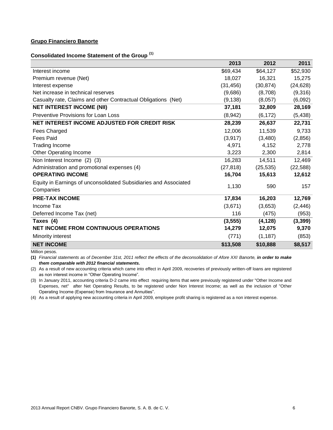#### **Grupo Financiero Banorte**

**Consolidated Income Statement of the Group (1)**

|                                                                               | 2013      | 2012      | 2011      |
|-------------------------------------------------------------------------------|-----------|-----------|-----------|
| Interest income                                                               | \$69,434  | \$64,127  | \$52,930  |
| Premium revenue (Net)                                                         | 18,027    | 16,321    | 15,275    |
| Interest expense                                                              | (31, 456) | (30, 874) | (24, 628) |
| Net increase in technical reserves                                            | (9,686)   | (8,708)   | (9,316)   |
| Casualty rate, Claims and other Contractual Obligations (Net)                 | (9, 138)  | (8,057)   | (6,092)   |
| <b>NET INTEREST INCOME (NII)</b>                                              | 37,181    | 32,809    | 28,169    |
| <b>Preventive Provisions for Loan Loss</b>                                    | (8,942)   | (6, 172)  | (5, 438)  |
| NET INTEREST INCOME ADJUSTED FOR CREDIT RISK                                  | 28,239    | 26,637    | 22,731    |
| Fees Charged                                                                  | 12,006    | 11,539    | 9,733     |
| <b>Fees Paid</b>                                                              | (3, 917)  | (3,480)   | (2,856)   |
| <b>Trading Income</b>                                                         | 4,971     | 4,152     | 2,778     |
| <b>Other Operating Income</b>                                                 | 3,223     | 2,300     | 2,814     |
| Non Interest Income (2) (3)                                                   | 16,283    | 14,511    | 12,469    |
| Administration and promotional expenses (4)                                   | (27, 818) | (25, 535) | (22, 588) |
| <b>OPERATING INCOME</b>                                                       | 16,704    | 15,613    | 12,612    |
| Equity in Earnings of unconsolidated Subsidiaries and Associated<br>Companies | 1,130     | 590       | 157       |
| <b>PRE-TAX INCOME</b>                                                         | 17,834    | 16,203    | 12,769    |
| Income Tax                                                                    | (3,671)   | (3,653)   | (2, 446)  |
| Deferred Income Tax (net)                                                     | 116       | (475)     | (953)     |
| Taxes (4)                                                                     | (3, 555)  | (4, 128)  | (3, 399)  |
| <b>NET INCOME FROM CONTINUOUS OPERATIONS</b>                                  | 14,279    | 12,075    | 9,370     |
| Minority interest                                                             | (771)     | (1, 187)  | (853)     |
| <b>NET INCOME</b>                                                             | \$13,508  | \$10,888  | \$8,517   |

Million pesos.

**(1)** *Financial statements as of December 31st, 2011 reflect the effects of the deconsolidation of Afore XXI Banorte, in order to make them comparable with 2012 financial statements.*

(2) As a result of new accounting criteria which came into effect in April 2009, recoveries of previously written-off loans are registered as non interest income in "Other Operating Income".

(3) In January 2011, accounting criteria D-2 came into effect requiring items that were previously registered under "Other Income and Expenses, net" after Net Operating Results, to be registered under Non Interest Income; as well as the inclusion of "Other Operating Income (Expense) from Insurance and Annuities".

(4) As a result of applying new accounting criteria in April 2009, employee profit sharing is registered as a non interest expense.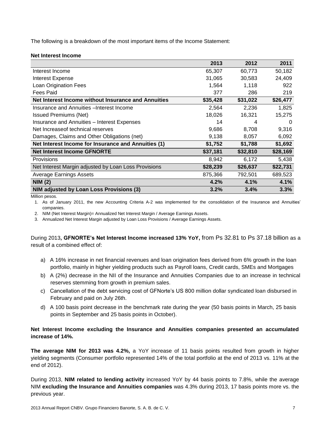The following is a breakdown of the most important items of the Income Statement:

#### **Net Interest Income**

|                                                      | 2013     | 2012     | 2011     |
|------------------------------------------------------|----------|----------|----------|
| Interest Income                                      | 65,307   | 60,773   | 50,182   |
| <b>Interest Expense</b>                              | 31,065   | 30,583   | 24,409   |
| Loan Origination Fees                                | 1,564    | 1.118    | 922      |
| Fees Paid                                            | 377      | 286      | 219      |
| Net Interest Income without Insurance and Annuities  | \$35,428 | \$31,022 | \$26,477 |
| Insurance and Annuities - Interest Income            | 2,564    | 2,236    | 1,825    |
| <b>Issued Premiums (Net)</b>                         | 18,026   | 16,321   | 15,275   |
| <b>Insurance and Annuities - Interest Expenses</b>   | 14       | 4        | $\Omega$ |
| Net Increaseof technical reserves                    | 9,686    | 8,708    | 9,316    |
| Damages, Claims and Other Obligations (net)          | 9,138    | 8,057    | 6,092    |
| Net Interest Income for Insurance and Annuities (1)  | \$1,752  | \$1,788  | \$1,692  |
| <b>Net Interest Income GFNORTE</b>                   | \$37,181 | \$32,810 | \$28,169 |
| Provisions                                           | 8,942    | 6,172    | 5,438    |
| Net Interest Margin adjusted by Loan Loss Provisions | \$28,239 | \$26,637 | \$22,731 |
| <b>Average Earnings Assets</b>                       | 875,366  | 792,501  | 689,523  |
| <b>NIM (2)</b>                                       | 4.2%     | 4.1%     | 4.1%     |
| NIM adjusted by Loan Loss Provisions (3)             | 3.2%     | 3.4%     | 3.3%     |

Million pesos.

1. As of January 2011, the new Accounting Criteria A-2 was implemented for the consolidation of the Insurance and Annuities' companies.

2. NIM (Net Interest Margin)= Annualized Net Interest Margin / Average Earnings Assets.

3. Annualized Net Interest Margin adjusted by Loan Loss Provisions / Average Earnings Assets.

During 2013**, GFNORTE's Net Interest Income increased 13% YoY,** from Ps 32.81 to Ps 37.18 billion as a result of a combined effect of:

- a) A 16% increase in net financial revenues and loan origination fees derived from 6% growth in the loan portfolio, mainly in higher yielding products such as Payroll loans, Credit cards, SMEs and Mortgages
- b) A (2%) decrease in the NII of the Insurance and Annuities Companies due to an increase in technical reserves stemming from growth in premium sales.
- c) Cancellation of the debt servicing cost of GFNorte's US 800 million dollar syndicated loan disbursed in February and paid on July 26th.
- d) A 100 basis point decrease in the benchmark rate during the year (50 basis points in March, 25 basis points in September and 25 basis points in October).

#### **Net Interest Income excluding the Insurance and Annuities companies presented an accumulated increase of 14%.**

**The average NIM for 2013 was 4.2%,** a YoY increase of 11 basis points resulted from growth in higher yielding segments (Consumer portfolio represented 14% of the total portfolio at the end of 2013 vs. 11% at the end of 2012).

During 2013, **NIM related to lending activity** increased YoY by 44 basis points to 7.8%, while the average NIM **excluding the Insurance and Annuities companies** was 4.3% during 2013, 17 basis points more vs. the previous year.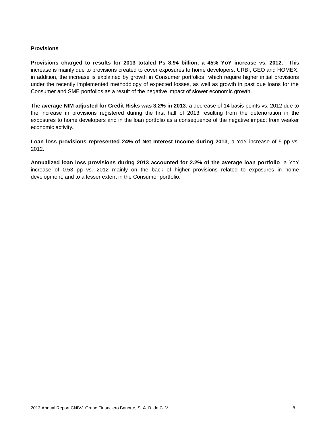#### **Provisions**

**Provisions charged to results for 2013 totaled Ps 8.94 billion, a 45% YoY increase vs. 2012**. This increase is mainly due to provisions created to cover exposures to home developers: URBI, GEO and HOMEX; in addition, the increase is explained by growth in Consumer portfolios which require higher initial provisions under the recently implemented methodology of expected losses, as well as growth in past due loans for the Consumer and SME portfolios as a result of the negative impact of slower economic growth.

The **average NIM adjusted for Credit Risks was 3.2% in 2013**, a decrease of 14 basis points vs. 2012 due to the increase in provisions registered during the first half of 2013 resulting from the deterioration in the exposures to home developers and in the loan portfolio as a consequence of the negative impact from weaker economic activity**.** 

**Loan loss provisions represented 24% of Net Interest Income during 2013**, a YoY increase of 5 pp vs. 2012.

**Annualized loan loss provisions during 2013 accounted for 2.2% of the average loan portfolio**, a YoY increase of 0.53 pp vs. 2012 mainly on the back of higher provisions related to exposures in home development, and to a lesser extent in the Consumer portfolio.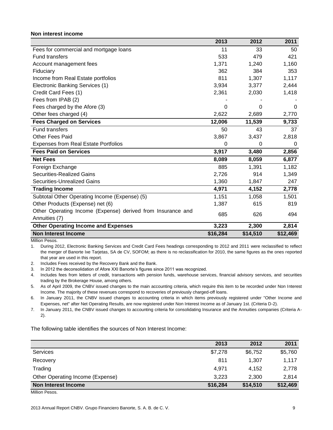#### **Non interest income**

|                                                             | 2013        | 2012     | 2011     |
|-------------------------------------------------------------|-------------|----------|----------|
| Fees for commercial and mortgage loans                      | 11          | 33       | 50       |
| <b>Fund transfers</b>                                       | 533         | 479      | 421      |
| Account management fees                                     | 1,371       | 1,240    | 1,160    |
| Fiduciary                                                   | 362         | 384      | 353      |
| Income from Real Estate portfolios                          | 811         | 1,307    | 1,117    |
| Electronic Banking Services (1)                             | 3,934       | 3,377    | 2,444    |
| Credit Card Fees (1)                                        | 2,361       | 2,030    | 1,418    |
| Fees from IPAB (2)                                          |             |          |          |
| Fees charged by the Afore (3)                               | 0           | 0        | $\Omega$ |
| Other fees charged (4)                                      | 2,622       | 2,689    | 2,770    |
| <b>Fees Charged on Services</b>                             | 12,006      | 11,539   | 9,733    |
| <b>Fund transfers</b>                                       | 50          | 43       | 37       |
| <b>Other Fees Paid</b>                                      | 3,867       | 3,437    | 2,818    |
| <b>Expenses from Real Estate Portfolios</b>                 | $\mathbf 0$ | 0        | 0        |
| <b>Fees Paid on Services</b>                                | 3,917       | 3,480    | 2,856    |
| <b>Net Fees</b>                                             | 8,089       | 8,059    | 6,877    |
| Foreign Exchange                                            | 885         | 1,391    | 1,182    |
| <b>Securities-Realized Gains</b>                            | 2,726       | 914      | 1,349    |
| <b>Securities-Unrealized Gains</b>                          | 1,360       | 1,847    | 247      |
| <b>Trading Income</b>                                       | 4,971       | 4,152    | 2,778    |
| Subtotal Other Operating Income (Expense) (5)               | 1,151       | 1,058    | 1,501    |
| Other Products (Expense) net (6)                            | 1,387       | 615      | 819      |
| Other Operating Income (Expense) derived from Insurance and | 685         | 626      | 494      |
| Annuities (7)                                               |             |          |          |
| <b>Other Operating Income and Expenses</b>                  | 3,223       | 2,300    | 2,814    |
| <b>Non Interest Income</b>                                  | \$16,284    | \$14,510 | \$12,469 |

Million Pesos.

1. During 2012, Electronic Banking Services and Credit Card Fees headings corresponding to 2012 and 2011 were reclassified to reflect the merger of Banorte Ixe Tarjetas, SA de CV, SOFOM; as there is no reclassification for 2010, the same figures as the ones reported that year are used in this report.

2. Includes Fees received by the Recovery Bank and the Bank.

3. In 2012 the deconsolidation of Afore XXI Banorte's figures since 2011 was recognized.

4. Includes fees from letters of credit, transactions with pension funds, warehouse services, financial advisory services, and securities trading by the Brokerage House, among others.

5. As of April 2009, the CNBV issued changes to the main accounting criteria, which require this item to be recorded under Non Interest Income. The majority of these revenues correspond to recoveries of previously charged-off loans.

6. In January 2011, the CNBV issued changes to accounting criteria in which items previously registered under "Other Income and Expenses, net" after Net Operating Results, are now registered under Non Interest Income as of January 1st. (Criteria D-2).

7. In January 2011, the CNBV issued changes to accounting criteria for consolidating Insurance and the Annuities companies (Criteria A-2).

The following table identifies the sources of Non Interest Income:

|                                  | 2013     | 2012     | 2011     |
|----------------------------------|----------|----------|----------|
| Services                         | \$7,278  | \$6,752  | \$5,760  |
| Recovery                         | 811      | 1.307    | 1,117    |
| Trading                          | 4,971    | 4.152    | 2,778    |
| Other Operating Income (Expense) | 3,223    | 2,300    | 2,814    |
| Non Interest Income              | \$16,284 | \$14,510 | \$12,469 |

Million Pesos.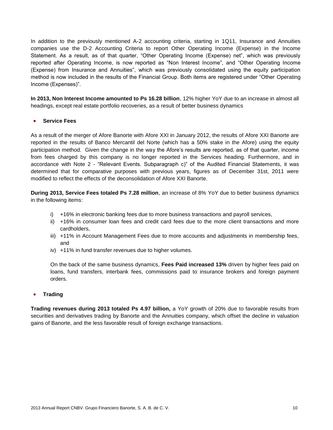In addition to the previously mentioned A-2 accounting criteria, starting in 1Q11, Insurance and Annuities companies use the D-2 Accounting Criteria to report Other Operating Income (Expense) in the Income Statement. As a result, as of that quarter, "Other Operating Income (Expense) net", which was previously reported after Operating Income, is now reported as "Non Interest Income", and "Other Operating Income (Expense) from Insurance and Annuities", which was previously consolidated using the equity participation method is now included in the results of the Financial Group. Both items are registered under "Other Operating Income (Expenses)".

**In 2013, Non Interest Income amounted to Ps 16.28 billion**, 12% higher YoY due to an increase in almost all headings, except real estate portfolio recoveries, as a result of better business dynamics

#### **Service Fees**

As a result of the merger of Afore Banorte with Afore XXI in January 2012, the results of Afore XXI Banorte are reported in the results of Banco Mercantil del Norte (which has a 50% stake in the Afore) using the equity participation method. Given the change in the way the Afore's results are reported, as of that quarter, income from fees charged by this company is no longer reported in the Services heading. Furthermore, and in accordance with Note 2 - "Relevant Events. Subparagraph c)" of the Audited Financial Statements, it was determined that for comparative purposes with previous years, figures as of December 31st, 2011 were modified to reflect the effects of the deconsolidation of Afore XXI Banorte.

**During 2013, Service Fees totaled Ps 7.28 million**, an increase of 8% YoY due to better business dynamics in the following items:

- i) +16% in electronic banking fees due to more business transactions and payroll services,
- ii) +16% in consumer loan fees and credit card fees due to the more client transactions and more cardholders,
- iii) +11% in Account Management Fees due to more accounts and adjustments in membership fees, and
- iv) +11% in fund transfer revenues due to higher volumes.

On the back of the same business dynamics, **Fees Paid increased 13%** driven by higher fees paid on loans, fund transfers, interbank fees, commissions paid to insurance brokers and foreign payment orders.

**Trading**

**Trading revenues during 2013 totaled Ps 4.97 billion,** a YoY growth of 20% due to favorable results from securities and derivatives trading by Banorte and the Annuities company, which offset the decline in valuation gains of Banorte, and the less favorable result of foreign exchange transactions.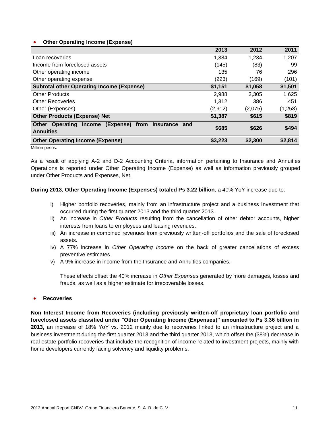#### **Other Operating Income (Expense)**

|                                                               | 2013    | 2012    | 2011    |
|---------------------------------------------------------------|---------|---------|---------|
| Loan recoveries                                               | 1,384   | 1,234   | 1,207   |
| Income from foreclosed assets                                 | (145)   | (83)    | 99      |
| Other operating income                                        | 135     | 76      | 296     |
| Other operating expense                                       | (223)   | (169)   | (101)   |
| <b>Subtotal other Operating Income (Expense)</b>              | \$1,151 | \$1,058 | \$1,501 |
| Other Products                                                | 2,988   | 2,305   | 1,625   |
| <b>Other Recoveries</b>                                       | 1,312   | 386     | 451     |
| Other (Expenses)                                              | (2,912) | (2,075) | (1,258) |
| <b>Other Products (Expense) Net</b>                           | \$1,387 | \$615   | \$819   |
| (Expense) from Insurance and<br><b>Other Operating Income</b> | \$685   | \$626   | \$494   |
| <b>Annuities</b>                                              |         |         |         |
| <b>Other Operating Income (Expense)</b>                       | \$3,223 | \$2,300 | \$2,814 |

Million pesos.

As a result of applying A-2 and D-2 Accounting Criteria, information pertaining to Insurance and Annuities Operations is reported under Other Operating Income (Expense) as well as information previously grouped under Other Products and Expenses, Net.

#### **During 2013, Other Operating Income (Expenses) totaled Ps 3.22 billion**, a 40% YoY increase due to:

- i) Higher portfolio recoveries, mainly from an infrastructure project and a business investment that occurred during the first quarter 2013 and the third quarter 2013.
- ii) An increase in *Other Products* resulting from the cancellation of other debtor accounts, higher interests from loans to employees and leasing revenues.
- iii) An increase in combined revenues from previously written-off portfolios and the sale of foreclosed assets.
- iv) A 77% increase in *Other Operating Income* on the back of greater cancellations of excess preventive estimates.
- v) A 9% increase in income from the Insurance and Annuities companies.

These effects offset the 40% increase in *Other Expenses* generated by more damages, losses and frauds, as well as a higher estimate for irrecoverable losses.

#### **Recoveries**

**Non Interest Income from Recoveries (including previously written-off proprietary loan portfolio and foreclosed assets classified under "Other Operating Income (Expenses)" amounted to Ps 3.36 billion in 2013,** an increase of 18% YoY vs. 2012 mainly due to recoveries linked to an infrastructure project and a business investment during the first quarter 2013 and the third quarter 2013, which offset the (38%) decrease in real estate portfolio recoveries that include the recognition of income related to investment projects, mainly with home developers currently facing solvency and liquidity problems.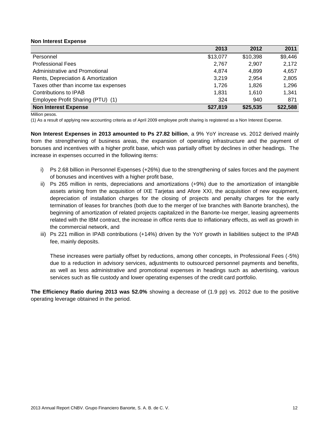#### **Non Interest Expense**

|                                      | 2013     | 2012     | 2011     |
|--------------------------------------|----------|----------|----------|
| Personnel                            | \$13,077 | \$10,398 | \$9,446  |
| <b>Professional Fees</b>             | 2,767    | 2,907    | 2,172    |
| Administrative and Promotional       | 4,874    | 4.899    | 4,657    |
| Rents, Depreciation & Amortization   | 3,219    | 2,954    | 2,805    |
| Taxes other than income tax expenses | 1.726    | 1.826    | 1,296    |
| Contributions to IPAB                | 1.831    | 1.610    | 1.341    |
| Employee Profit Sharing (PTU) (1)    | 324      | 940      | 871      |
| <b>Non Interest Expense</b>          | \$27,819 | \$25,535 | \$22,588 |

Million pesos.

(1) As a result of applying new accounting criteria as of April 2009 employee profit sharing is registered as a Non Interest Expense.

**Non Interest Expenses in 2013 amounted to Ps 27.82 billion**, a 9% YoY increase vs. 2012 derived mainly from the strengthening of business areas, the expansion of operating infrastructure and the payment of bonuses and incentives with a higher profit base, which was partially offset by declines in other headings. The increase in expenses occurred in the following items:

- i) Ps 2.68 billion in Personnel Expenses (+26%) due to the strengthening of sales forces and the payment of bonuses and incentives with a higher profit base,
- ii) Ps 265 million in rents, depreciations and amortizations (+9%) due to the amortization of intangible assets arising from the acquisition of IXE Tarjetas and Afore XXI, the acquisition of new equipment, depreciation of installation charges for the closing of projects and penalty charges for the early termination of leases for branches (both due to the merger of Ixe branches with Banorte branches), the beginning of amortization of related projects capitalized in the Banorte-Ixe merger, leasing agreements related with the IBM contract, the increase in office rents due to inflationary effects, as well as growth in the commercial network, and
- iii) Ps 221 million in IPAB contributions (+14%) driven by the YoY growth in liabilities subject to the IPAB fee, mainly deposits.

These increases were partially offset by reductions, among other concepts, in Professional Fees (-5%) due to a reduction in advisory services, adjustments to outsourced personnel payments and benefits, as well as less administrative and promotional expenses in headings such as advertising, various services such as file custody and lower operating expenses of the credit card portfolio.

**The Efficiency Ratio during 2013 was 52.0%** showing a decrease of (1.9 pp) vs. 2012 due to the positive operating leverage obtained in the period.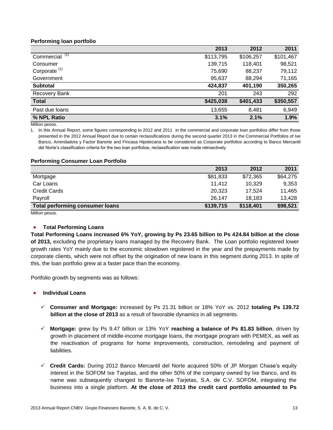#### **Performing loan portfolio**

|                          | 2013      | 2012      | 2011      |
|--------------------------|-----------|-----------|-----------|
| Commercial $(1)$         | \$113,795 | \$106,257 | \$101,467 |
| Consumer                 | 139,715   | 118,401   | 98,521    |
| Corporate <sup>(1)</sup> | 75,690    | 88,237    | 79,112    |
| Government               | 95,637    | 88,294    | 71,165    |
| <b>Subtotal</b>          | 424,837   | 401,190   | 350,265   |
| Recovery Bank            | 201       | 243       | 292       |
| <b>Total</b>             | \$425,038 | \$401,433 | \$350,557 |
| Past due loans           | 13,655    | 8,481     | 6,949     |
| % NPL Ratio              | 3.1%      | 2.1%      | 1.9%      |

Million pesos.

1. In this Annual Report, some figures corresponding to 2012 and 2011 in the commercial and corporate loan portfolios differ from those presented in the 2012 Annual Report due to certain reclassifications during the second quarter 2013 in the Commercial Portfolios of Ixe Banco, Arrendadora y Factor Banorte and Fincasa Hipotecaria to be considered as Corporate portfolios according to Banco Mercantil del Norte's classification criteria for the two loan portfolios; reclassification was made retroactively.

#### **Performing Consumer Loan Portfolio**

|                                 | 2013      | 2012      | 2011     |
|---------------------------------|-----------|-----------|----------|
| Mortgage                        | \$81,833  | \$72,365  | \$64,275 |
| Car Loans                       | 11,412    | 10.329    | 9,353    |
| <b>Credit Cards</b>             | 20,323    | 17.524    | 11,465   |
| Payroll                         | 26,147    | 18,183    | 13,428   |
| Total performing consumer loans | \$139,715 | \$118,401 | \$98,521 |

Million pesos.

#### **•** Total Performing Loans

**Total Performing Loans increased 6% YoY, growing by Ps 23.65 billion to Ps 424.84 billion at the close of 2013,** excluding the proprietary loans managed by the Recovery Bank. The Loan portfolio registered lower growth rates YoY mainly due to the economic slowdown registered in the year and the prepayments made by corporate clients, which were not offset by the origination of new loans in this segment during 2013. In spite of this, the loan portfolio grew at a faster pace than the economy.

Portfolio growth by segments was as follows:

#### **Individual Loans**

- **Consumer and Mortgage:** increased by Ps 21.31 billion or 18% YoY vs. 2012 **totaling Ps 139.72 billion at the close of 2013** as a result of favorable dynamics in all segments.
- **Mortgage:** grew by Ps 9.47 billion or 13% YoY **reaching a balance of Ps 81.83 billion**, driven by growth in placement of middle-income mortgage loans, the mortgage program with PEMEX, as well as the reactivation of programs for home improvements, construction, remodeling and payment of liabilities.
- **Credit Cards:** During 2012 Banco Mercantil del Norte acquired 50% of JP Morgan Chase's equity interest in the SOFOM Ixe Tarjetas, and the other 50% of the company owned by Ixe Banco, and its name was subsequently changed to Banorte-Ixe Tarjetas, S.A. de C.V. SOFOM, integrating the business into a single platform. **At the close of 2013 the credit card portfolio amounted to Ps**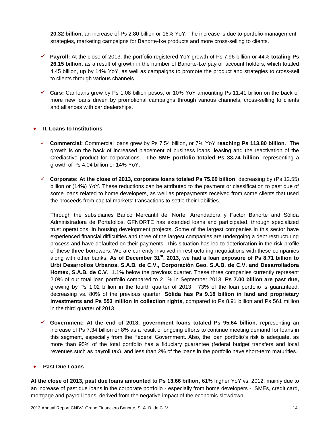**20.32 billion**, an increase of Ps 2.80 billion or 16% YoY. The increase is due to portfolio management strategies, marketing campaigns for Banorte-Ixe products and more cross-selling to clients.

- **Payroll:** At the close of 2013, the portfolio registered YoY growth of Ps 7.96 billion or 44% **totaling Ps 26.15 billion**, as a result of growth in the number of Banorte-Ixe payroll account holders, which totaled 4.45 billion, up by 14% YoY, as well as campaigns to promote the product and strategies to cross-sell to clients through various channels.
- **Cars:** Car loans grew by Ps 1.08 billion pesos, or 10% YoY amounting Ps 11.41 billion on the back of more new loans driven by promotional campaigns through various channels, cross-selling to clients and alliances with car dealerships.

#### **II. Loans to Institutions**

- **Commercial:** Commercial loans grew by Ps 7.54 billion, or 7% YoY **reaching Ps 113.80 billion**. The growth is on the back of increased placement of business loans, leasing and the reactivation of the Crediactivo product for corporations. **The SME portfolio totaled Ps 33.74 billion**, representing a growth of Ps 4.04 billion or 14% YoY.
- **Corporate: At the close of 2013, corporate loans totaled Ps 75.69 billion**, decreasing by (Ps 12.55) billion or (14%) YoY. These reductions can be attributed to the payment or classification to past due of some loans related to home developers, as well as prepayments received from some clients that used the proceeds from capital markets' transactions to settle their liabilities.

Through the subsidiaries Banco Mercantil del Norte, Arrendadora y Factor Banorte and Sólida Administradora de Portafolios, GFNORTE has extended loans and participated, through specialized trust operations, in housing development projects. Some of the largest companies in this sector have experienced financial difficulties and three of the largest companies are undergoing a debt restructuring process and have defaulted on their payments. This situation has led to deterioration in the risk profile of these three borrowers. We are currently involved in restructuring negotiations with these companies along with other banks. **As of December 31st, 2013, we had a loan exposure of Ps 8.71 billion to Urbi Desarrollos Urbanos, S.A.B. de C.V., Corporación Geo, S.A.B. de C.V. and Desarrolladora Homex, S.A.B. de C.V**., 1.1% below the previous quarter. These three companies currently represent 2.0% of our total loan portfolio compared to 2.1% in September 2013. **Ps 7.00 billion are past due,** growing by Ps 1.02 billion in the fourth quarter of 2013. 73% of the loan portfolio is guaranteed, decreasing vs. 80% of the previous quarter. **Sólida has Ps 9.18 billion in land and proprietary investments and Ps 553 million in collection rights,** compared to Ps 8.91 billion and Ps 561 million in the third quarter of 2013.

 $\checkmark$  Government: At the end of 2013, government loans totaled Ps 95.64 billion, representing an increase of Ps 7.34 billion or 8% as a result of ongoing efforts to continue meeting demand for loans in this segment, especially from the Federal Government. Also, the loan portfolio's risk is adequate, as more than 95% of the total portfolio has a fiduciary guarantee (federal budget transfers and local revenues such as payroll tax), and less than 2% of the loans in the portfolio have short-term maturities.

#### **Past Due Loans**

**At the close of 2013, past due loans amounted to Ps 13.66 billion**, 61% higher YoY vs. 2012, mainly due to an increase of past due loans in the corporate portfolio - especially from home developers -, SMEs, credit card, mortgage and payroll loans, derived from the negative impact of the economic slowdown.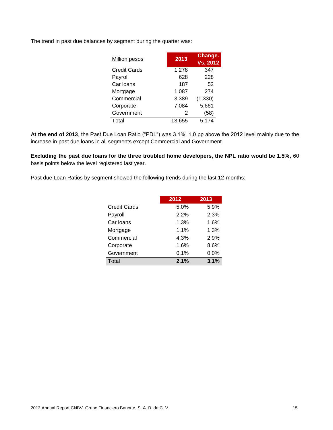The trend in past due balances by segment during the quarter was:

| <b>Million pesos</b> | 2013   | Change.<br><b>Vs. 2012</b> |
|----------------------|--------|----------------------------|
| <b>Credit Cards</b>  | 1,278  | 347                        |
| Payroll              | 628    | 228                        |
| Car loans            | 187    | 52                         |
| Mortgage             | 1,087  | 274                        |
| Commercial           | 3,389  | (1, 330)                   |
| Corporate            | 7,084  | 5,661                      |
| Government           | 2      | (58)                       |
| Total                | 13.655 | 5,174                      |

**At the end of 2013**, the Past Due Loan Ratio ("PDL") was 3.1%, 1.0 pp above the 2012 level mainly due to the increase in past due loans in all segments except Commercial and Government.

**Excluding the past due loans for the three troubled home developers, the NPL ratio would be 1.5%**, 60 basis points below the level registered last year.

Past due Loan Ratios by segment showed the following trends during the last 12-months:

|                     | 2012 | 2013 |
|---------------------|------|------|
| <b>Credit Cards</b> | 5.0% | 5.9% |
| Payroll             | 2.2% | 2.3% |
| Car Ioans           | 1.3% | 1.6% |
| Mortgage            | 1.1% | 1.3% |
| Commercial          | 4.3% | 2.9% |
| Corporate           | 1.6% | 8.6% |
| Government          | 0.1% | 0.0% |
| Total               | 2.1% | 3.1% |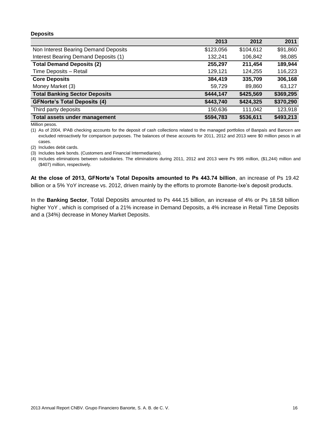#### **Deposits**

|                                      | 2013      | 2012      | 2011      |
|--------------------------------------|-----------|-----------|-----------|
| Non Interest Bearing Demand Deposits | \$123,056 | \$104,612 | \$91,860  |
| Interest Bearing Demand Deposits (1) | 132,241   | 106,842   | 98,085    |
| <b>Total Demand Deposits (2)</b>     | 255,297   | 211,454   | 189,944   |
| Time Deposits - Retail               | 129,121   | 124,255   | 116,223   |
| <b>Core Deposits</b>                 | 384,419   | 335,709   | 306,168   |
| Money Market (3)                     | 59,729    | 89,860    | 63,127    |
| <b>Total Banking Sector Deposits</b> | \$444,147 | \$425,569 | \$369,295 |
| <b>GFNorte's Total Deposits (4)</b>  | \$443,740 | \$424,325 | \$370,290 |
| Third party deposits                 | 150,636   | 111.042   | 123,918   |
| Total assets under management        | \$594,783 | \$536,611 | \$493,213 |

Million pesos.

(1) As of 2004, IPAB checking accounts for the deposit of cash collections related to the managed portfolios of Banpaís and Bancen are excluded retroactively for comparison purposes. The balances of these accounts for 2011, 2012 and 2013 were \$0 million pesos in all cases.

(2) Includes debit cards.

- (3) Includes bank bonds. (Customers and Financial Intermediaries).
- (4) Includes eliminations between subsidiaries. The eliminations during 2011, 2012 and 2013 were Ps 995 million, (\$1,244) million and (\$407) million, respectively.

**At the close of 2013, GFNorte's Total Deposits amounted to Ps 443.74 billion**, an increase of Ps 19.42 billion or a 5% YoY increase vs. 2012, driven mainly by the efforts to promote Banorte-Ixe's deposit products.

In the **Banking Sector**, Total Deposits amounted to Ps 444.15 billion, an increase of 4% or Ps 18.58 billion higher YoY, which is comprised of a 21% increase in Demand Deposits, a 4% increase in Retail Time Deposits and a (34%) decrease in Money Market Deposits.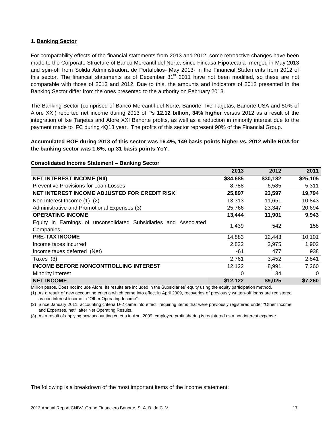#### **1. Banking Sector**

For comparability effects of the financial statements from 2013 and 2012, some retroactive changes have been made to the Corporate Structure of Banco Mercantil del Norte, since Fincasa Hipotecaria- merged in May 2013 and spin-off from Solida Administradora de Portafolios- May 2013- in the Financial Statements from 2012 of this sector. The financial statements as of December  $31<sup>st</sup>$  2011 have not been modified, so these are not comparable with those of 2013 and 2012. Due to this, the amounts and indicators of 2012 presented in the Banking Sector differ from the ones presented to the authority on February 2013.

The Banking Sector (comprised of Banco Mercantil del Norte, Banorte- Ixe Tarjetas, Banorte USA and 50% of Afore XXI) reported net income during 2013 of Ps **12.12 billion, 34% higher** versus 2012 as a result of the integration of Ixe Tarjetas and Afore XXI Banorte profits, as well as a reduction in minority interest due to the payment made to IFC during 4Q13 year. The profits of this sector represent 90% of the Financial Group.

**Accumulated ROE during 2013 of this sector was 16.4%, 149 basis points higher vs. 2012 while ROA for the banking sector was 1.6%, up 31 basis points YoY.**

|                                                                               | 2013     | 2012     | 2011     |
|-------------------------------------------------------------------------------|----------|----------|----------|
| <b>NET INTEREST INCOME (NII)</b>                                              | \$34,685 | \$30,182 | \$25,105 |
| <b>Preventive Provisions for Loan Losses</b>                                  | 8,788    | 6,585    | 5,311    |
| NET INTEREST INCOME ADJUSTED FOR CREDIT RISK                                  | 25,897   | 23,597   | 19,794   |
| Non Interest Income (1) (2)                                                   | 13,313   | 11,651   | 10,843   |
| Administrative and Promotional Expenses (3)                                   | 25,766   | 23,347   | 20,694   |
| <b>OPERATING INCOME</b>                                                       | 13,444   | 11,901   | 9,943    |
| Equity in Earnings of unconsolidated Subsidiaries and Associated<br>Companies | 1,439    | 542      | 158      |
| <b>PRE-TAX INCOME</b>                                                         | 14,883   | 12.443   | 10,101   |
| Income taxes incurred                                                         | 2,822    | 2,975    | 1,902    |
| Income taxes deferred (Net)                                                   | -61      | 477      | 938      |
| Taxes (3)                                                                     | 2,761    | 3,452    | 2,841    |
| <b>INCOME BEFORE NONCONTROLLING INTEREST</b>                                  | 12,122   | 8,991    | 7,260    |
| Minority interest                                                             | 0        | 34       | $\Omega$ |
| <b>NET INCOME</b>                                                             | \$12,122 | \$9,025  | \$7,260  |

#### **Consolidated Income Statement – Banking Sector**

Million pesos. Does not include Afore. Its results are included in the Subsidiaries' equity using the equity participation method.

(1) As a result of new accounting criteria which came into effect in April 2009, recoveries of previously written-off loans are registered as non interest income in "Other Operating Income".

(2) Since January 2011, accounting criteria D-2 came into effect requiring items that were previously registered under "Other Income and Expenses, net" after Net Operating Results.

(3) As a result of applying new accounting criteria in April 2009, employee profit sharing is registered as a non interest expense.

The following is a breakdown of the most important items of the income statement: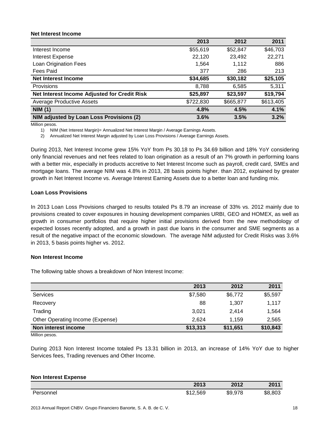#### **Net Interest Income**

|                                              | 2013      | 2012      | 2011      |
|----------------------------------------------|-----------|-----------|-----------|
| Interest Income                              | \$55,619  | \$52,847  | \$46,703  |
| <b>Interest Expense</b>                      | 22,120    | 23,492    | 22,271    |
| Loan Origination Fees                        | 1,564     | 1.112     | 886       |
| Fees Paid                                    | 377       | 286       | 213       |
| <b>Net Interest Income</b>                   | \$34,685  | \$30,182  | \$25,105  |
| Provisions                                   | 8,788     | 6,585     | 5,311     |
| Net Interest Income Adjusted for Credit Risk | \$25,897  | \$23,597  | \$19,794  |
| <b>Average Productive Assets</b>             | \$722,830 | \$665,877 | \$613,405 |
| <b>NIM (1)</b>                               | 4.8%      | 4.5%      | 4.1%      |
| NIM adjusted by Loan Loss Provisions (2)     | 3.6%      | 3.5%      | 3.2%      |

Million pesos.

1) NIM (Net Interest Margin)= Annualized Net Interest Margin / Average Earnings Assets.

2) Annualized Net Interest Margin adjusted by Loan Loss Provisions / Average Earnings Assets.

During 2013, Net Interest Income grew 15% YoY from Ps 30.18 to Ps 34.69 billion and 18% YoY considering only financial revenues and net fees related to loan origination as a result of an 7% growth in performing loans with a better mix, especially in products accretive to Net Interest Income such as payroll, credit card, SMEs and mortgage loans. The average NIM was 4.8% in 2013, 28 basis points higher. than 2012, explained by greater growth in Net Interest Income vs. Average Interest Earning Assets due to a better loan and funding mix.

#### **Loan Loss Provisions**

In 2013 Loan Loss Provisions charged to results totaled Ps 8.79 an increase of 33% vs. 2012 mainly due to provisions created to cover exposures in housing development companies URBI, GEO and HOMEX, as well as growth in consumer portfolios that require higher initial provisions derived from the new methodology of expected losses recently adopted, and a growth in past due loans in the consumer and SME segments as a result of the negative impact of the economic slowdown. The average NIM adjusted for Credit Risks was 3.6% in 2013, 5 basis points higher vs. 2012.

#### **Non Interest Income**

The following table shows a breakdown of Non Interest Income:

|                                  | 2013     | 2012     | 2011     |
|----------------------------------|----------|----------|----------|
| Services                         | \$7,580  | \$6,772  | \$5,597  |
| Recovery                         | 88       | 1,307    | 1,117    |
| Trading                          | 3,021    | 2.414    | 1,564    |
| Other Operating Income (Expense) | 2.624    | 1.159    | 2,565    |
| Non interest income              | \$13,313 | \$11,651 | \$10,843 |
| $\blacksquare$                   |          |          |          |

Million pesos.

During 2013 Non Interest Income totaled Ps 13.31 billion in 2013, an increase of 14% YoY due to higher Services fees, Trading revenues and Other Income.

#### **Non Interest Expense 2013 2012 2011** Personnel \$12,569 \$9,978 \$8,803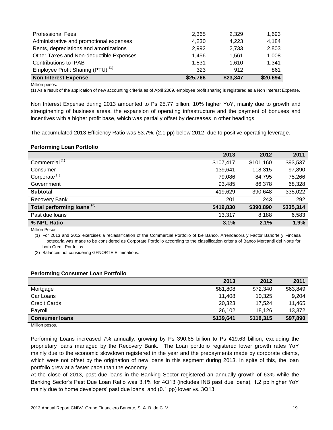| <b>Professional Fees</b>                     | 2,365    | 2.329    | 1,693    |
|----------------------------------------------|----------|----------|----------|
| Administrative and promotional expenses      | 4,230    | 4,223    | 4,184    |
| Rents, depreciations and amortizations       | 2,992    | 2,733    | 2,803    |
| Other Taxes and Non-deductible Expenses      | 1.456    | 1.561    | 1,008    |
| Contributions to IPAB                        | 1.831    | 1.610    | 1.341    |
| Employee Profit Sharing (PTU) <sup>(1)</sup> | 323      | 912      | 861      |
| <b>Non Interest Expense</b>                  | \$25,766 | \$23,347 | \$20,694 |

Million pesos.

(1) As a result of the application of new accounting criteria as of April 2009, employee profit sharing is registered as a Non Interest Expense.

Non Interest Expense during 2013 amounted to Ps 25.77 billion, 10% higher YoY, mainly due to growth and strengthening of business areas, the expansion of operating infrastructure and the payment of bonuses and incentives with a higher profit base, which was partially offset by decreases in other headings.

The accumulated 2013 Efficiency Ratio was 53.7%, (2.1 pp) below 2012, due to positive operating leverage.

#### **Performing Loan Portfolio**

|                                       | 2013      | 2012      | 2011      |
|---------------------------------------|-----------|-----------|-----------|
| Commercial <sup>(1)</sup>             | \$107,417 | \$101,160 | \$93,537  |
| Consumer                              | 139,641   | 118,315   | 97,890    |
| Corporate <sup>(1)</sup>              | 79,086    | 84,795    | 75,266    |
| Government                            | 93,485    | 86,378    | 68,328    |
| <b>Subtotal</b>                       | 419,629   | 390,648   | 335,022   |
| Recovery Bank                         | 201       | 243       | 292       |
| Total performing loans <sup>(2)</sup> | \$419,830 | \$390,890 | \$335,314 |
| Past due loans                        | 13,317    | 8,188     | 6,583     |
| % NPL Ratio                           | 3.1%      | 2.1%      | 1.9%      |

Million Pesos.

(1) For 2013 and 2012 exercises a reclassification of the Commercial Portfolio of Ixe Banco, Arrendadora y Factor Banorte y Fincasa Hipotecaria was made to be considered as Corporate Portfolio according to the classification criteria of Banco Mercantil del Norte for both Credit Portfolios.

(2) Balances not considering GFNORTE Eliminations.

#### **Performing Consumer Loan Portfolio**

|                       | 2013      | 2012      | 2011     |
|-----------------------|-----------|-----------|----------|
| Mortgage              | \$81,808  | \$72,340  | \$63,849 |
| Car Loans             | 11.408    | 10.325    | 9,204    |
| <b>Credit Cards</b>   | 20,323    | 17.524    | 11,465   |
| Payroll               | 26.102    | 18.126    | 13,372   |
| <b>Consumer loans</b> | \$139,641 | \$118,315 | \$97,890 |

Million pesos.

Performing Loans increased 7% annually, growing by Ps 390.65 billion to Ps 419.63 billion**,** excluding the proprietary loans managed by the Recovery Bank. The Loan portfolio registered lower growth rates YoY mainly due to the economic slowdown registered in the year and the prepayments made by corporate clients, which were not offset by the origination of new loans in this segment during 2013. In spite of this, the loan portfolio grew at a faster pace than the economy.

At the close of 2013, past due loans in the Banking Sector registered an annually growth of 63% while the Banking Sector's Past Due Loan Ratio was 3.1% for 4Q13 (includes INB past due loans), 1.2 pp higher YoY mainly due to home developers' past due loans; and (0.1 pp) lower vs. 3Q13.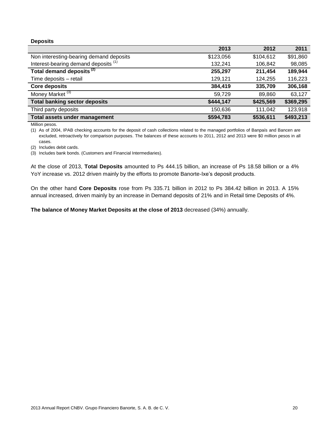#### **Deposits**

|                                                 | 2013      | 2012      | 2011      |
|-------------------------------------------------|-----------|-----------|-----------|
| Non interesting-bearing demand deposits         | \$123,056 | \$104,612 | \$91,860  |
| Interest-bearing demand deposits <sup>(1)</sup> | 132,241   | 106,842   | 98,085    |
| Total demand deposits <sup>(2)</sup>            | 255,297   | 211,454   | 189,944   |
| Time deposits - retail                          | 129,121   | 124,255   | 116,223   |
| <b>Core deposits</b>                            | 384,419   | 335,709   | 306,168   |
| Money Market <sup>(3)</sup>                     | 59,729    | 89,860    | 63,127    |
| <b>Total banking sector deposits</b>            | \$444,147 | \$425,569 | \$369,295 |
| Third party deposits                            | 150,636   | 111,042   | 123,918   |
| Total assets under management                   | \$594,783 | \$536,611 | \$493,213 |

Million pesos.

(1) As of 2004, IPAB checking accounts for the deposit of cash collections related to the managed portfolios of Banpaís and Bancen are excluded, retroactively for comparison purposes. The balances of these accounts to 2011, 2012 and 2013 were \$0 million pesos in all cases.

(2) Includes debit cards.

(3) Includes bank bonds. (Customers and Financial Intermediaries).

At the close of 2013, **Total Deposits** amounted to Ps 444.15 billion, an increase of Ps 18.58 billion or a 4% YoY increase vs. 2012 driven mainly by the efforts to promote Banorte-Ixe's deposit products.

On the other hand **Core Deposits** rose from Ps 335.71 billion in 2012 to Ps 384.42 billion in 2013. A 15% annual increased, driven mainly by an increase in Demand deposits of 21% and in Retail time Deposits of 4%.

**The balance of Money Market Deposits at the close of 2013** decreased (34%) annually.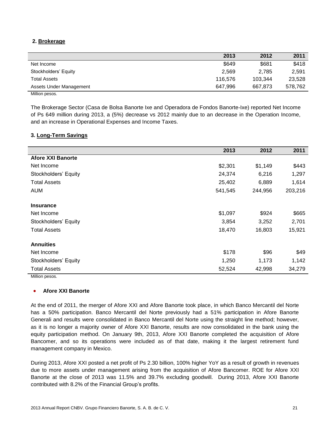#### **2. Brokerage**

|                                                           | 2013    | 2012    | 2011    |
|-----------------------------------------------------------|---------|---------|---------|
| Net Income                                                | \$649   | \$681   | \$418   |
| Stockholders' Equity                                      | 2.569   | 2.785   | 2,591   |
| <b>Total Assets</b>                                       | 116.576 | 103,344 | 23,528  |
| Assets Under Management                                   | 647.996 | 667.873 | 578.762 |
| $\mathbf{A}$ and $\mathbf{B}$ are the set of $\mathbf{A}$ |         |         |         |

Million pesos.

The Brokerage Sector (Casa de Bolsa Banorte Ixe and Operadora de Fondos Banorte-Ixe) reported Net Income of Ps 649 million during 2013, a (5%) decrease vs 2012 mainly due to an decrease in the Operation Income, and an increase in Operational Expenses and Income Taxes.

#### **3. Long-Term Savings**

|                          | 2013    | 2012    | 2011    |
|--------------------------|---------|---------|---------|
| <b>Afore XXI Banorte</b> |         |         |         |
| Net Income               | \$2,301 | \$1,149 | \$443   |
| Stockholders' Equity     | 24,374  | 6,216   | 1,297   |
| <b>Total Assets</b>      | 25,402  | 6,889   | 1,614   |
| <b>AUM</b>               | 541,545 | 244,956 | 203,216 |
| <b>Insurance</b>         |         |         |         |
| Net Income               | \$1,097 | \$924   | \$665   |
| Stockholders' Equity     | 3,854   | 3,252   | 2,701   |
| <b>Total Assets</b>      | 18,470  | 16,803  | 15,921  |
| <b>Annuities</b>         |         |         |         |
| Net Income               | \$178   | \$96    | \$49    |
| Stockholders' Equity     | 1,250   | 1,173   | 1,142   |
| <b>Total Assets</b>      | 52,524  | 42,998  | 34,279  |

Million pesos.

#### **Afore XXI Banorte**

At the end of 2011, the merger of Afore XXI and Afore Banorte took place, in which Banco Mercantil del Norte has a 50% participation. Banco Mercantil del Norte previously had a 51% participation in Afore Banorte Generali and results were consolidated in Banco Mercantil del Norte using the straight line method; however, as it is no longer a majority owner of Afore XXI Banorte, results are now consolidated in the bank using the equity participation method. On January 9th, 2013, Afore XXI Banorte completed the acquisition of Afore Bancomer, and so its operations were included as of that date, making it the largest retirement fund management company in Mexico.

During 2013, Afore XXI posted a net profit of Ps 2.30 billion, 100% higher YoY as a result of growth in revenues due to more assets under management arising from the acquisition of Afore Bancomer. ROE for Afore XXI Banorte at the close of 2013 was 11.5% and 39.7% excluding goodwill. During 2013, Afore XXI Banorte contributed with 8.2% of the Financial Group's profits.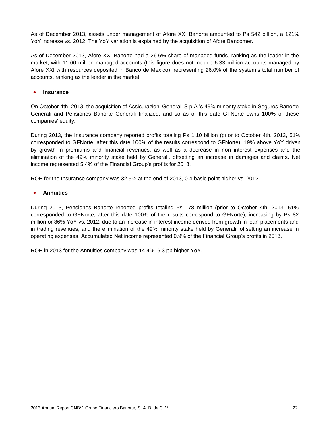As of December 2013, assets under management of Afore XXI Banorte amounted to Ps 542 billion, a 121% YoY increase vs. 2012. The YoY variation is explained by the acquisition of Afore Bancomer.

As of December 2013, Afore XXI Banorte had a 26.6% share of managed funds, ranking as the leader in the market; with 11.60 million managed accounts (this figure does not include 6.33 million accounts managed by Afore XXI with resources deposited in Banco de Mexico), representing 26.0% of the system's total number of accounts, ranking as the leader in the market.

#### **Insurance**

On October 4th, 2013, the acquisition of Assicurazioni Generali S.p.A.'s 49% minority stake in Seguros Banorte Generali and Pensiones Banorte Generali finalized, and so as of this date GFNorte owns 100% of these companies' equity.

During 2013, the Insurance company reported profits totaling Ps 1.10 billion (prior to October 4th, 2013, 51% corresponded to GFNorte, after this date 100% of the results correspond to GFNorte), 19% above YoY driven by growth in premiums and financial revenues, as well as a decrease in non interest expenses and the elimination of the 49% minority stake held by Generali, offsetting an increase in damages and claims. Net income represented 5.4% of the Financial Group's profits for 2013.

ROE for the Insurance company was 32.5% at the end of 2013, 0.4 basic point higher vs. 2012.

#### **Annuities**

During 2013, Pensiones Banorte reported profits totaling Ps 178 million (prior to October 4th, 2013, 51% corresponded to GFNorte, after this date 100% of the results correspond to GFNorte), increasing by Ps 82 million or 86% YoY vs. 2012, due to an increase in interest income derived from growth in loan placements and in trading revenues, and the elimination of the 49% minority stake held by Generali, offsetting an increase in operating expenses. Accumulated Net income represented 0.9% of the Financial Group's profits in 2013.

ROE in 2013 for the Annuities company was 14.4%, 6.3 pp higher YoY.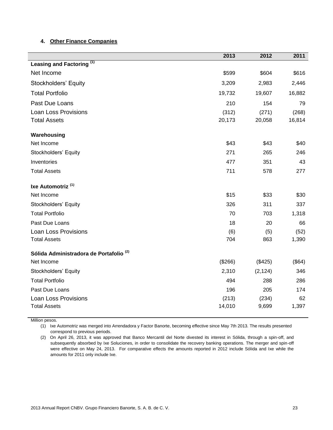#### **4. Other Finance Companies**

|                                                    | 2013    | 2012     | 2011   |
|----------------------------------------------------|---------|----------|--------|
| Leasing and Factoring <sup>(1)</sup>               |         |          |        |
| Net Income                                         | \$599   | \$604    | \$616  |
| Stockholders' Equity                               | 3,209   | 2,983    | 2,446  |
| <b>Total Portfolio</b>                             | 19,732  | 19,607   | 16,882 |
| Past Due Loans                                     | 210     | 154      | 79     |
| <b>Loan Loss Provisions</b>                        | (312)   | (271)    | (268)  |
| <b>Total Assets</b>                                | 20,173  | 20,058   | 16,814 |
| Warehousing                                        |         |          |        |
| Net Income                                         | \$43    | \$43     | \$40   |
| Stockholders' Equity                               | 271     | 265      | 246    |
| Inventories                                        | 477     | 351      | 43     |
| <b>Total Assets</b>                                | 711     | 578      | 277    |
| Ixe Automotriz <sup>(1)</sup>                      |         |          |        |
| Net Income                                         | \$15    | \$33     | \$30   |
| Stockholders' Equity                               | 326     | 311      | 337    |
| <b>Total Portfolio</b>                             | 70      | 703      | 1,318  |
| Past Due Loans                                     | 18      | 20       | 66     |
| Loan Loss Provisions                               | (6)     | (5)      | (52)   |
| <b>Total Assets</b>                                | 704     | 863      | 1,390  |
| Sólida Administradora de Portafolio <sup>(2)</sup> |         |          |        |
| Net Income                                         | (\$266) | (\$425)  | (\$64) |
| Stockholders' Equity                               | 2,310   | (2, 124) | 346    |
| <b>Total Portfolio</b>                             | 494     | 288      | 286    |
| Past Due Loans                                     | 196     | 205      | 174    |
| <b>Loan Loss Provisions</b>                        | (213)   | (234)    | 62     |
| <b>Total Assets</b>                                | 14,010  | 9,699    | 1,397  |

Million pesos.

(1) Ixe Automotriz was merged into Arrendadora y Factor Banorte, becoming effective since May 7th 2013. The results presented correspond to previous periods.

(2) On April 26, 2013, it was approved that Banco Mercantil del Norte divested its interest in Sólida, through a spin-off, and subsequently absorbed by Ixe Soluciones, in order to consolidate the recovery banking operations. The merger and spin-off were effective on May 24, 2013. For comparative effects the amounts reported in 2012 include Sólida and Ixe while the amounts for 2011 only include Ixe.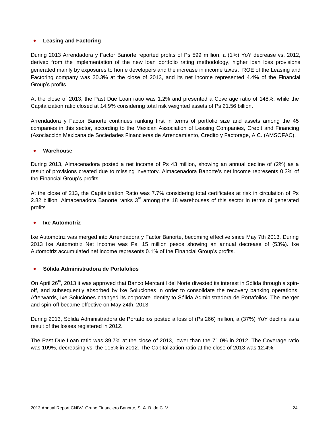#### **Leasing and Factoring**

During 2013 Arrendadora y Factor Banorte reported profits of Ps 599 million, a (1%) YoY decrease vs. 2012, derived from the implementation of the new loan portfolio rating methodology, higher loan loss provisions generated mainly by exposures to home developers and the increase in income taxes. ROE of the Leasing and Factoring company was 20.3% at the close of 2013, and its net income represented 4.4% of the Financial Group's profits.

At the close of 2013, the Past Due Loan ratio was 1.2% and presented a Coverage ratio of 148%; while the Capitalization ratio closed at 14.9% considering total risk weighted assets of Ps 21.56 billion.

Arrendadora y Factor Banorte continues ranking first in terms of portfolio size and assets among the 45 companies in this sector, according to the Mexican Association of Leasing Companies, Credit and Financing (Asociacción Mexicana de Sociedades Financieras de Arrendamiento, Credito y Factorage, A.C. (AMSOFAC).

#### **Warehouse**

During 2013, Almacenadora posted a net income of Ps 43 million, showing an annual decline of (2%) as a result of provisions created due to missing inventory. Almacenadora Banorte's net income represents 0.3% of the Financial Group's profits.

At the close of 213, the Capitalization Ratio was 7.7% considering total certificates at risk in circulation of Ps 2.82 billion. Almacenadora Banorte ranks  $3<sup>rd</sup>$  among the 18 warehouses of this sector in terms of generated profits.

#### **Ixe Automotriz**

Ixe Automotriz was merged into Arrendadora y Factor Banorte, becoming effective since May 7th 2013. During 2013 Ixe Automotriz Net Income was Ps. 15 million pesos showing an annual decrease of (53%). Ixe Automotriz accumulated net income represents 0.1% of the Financial Group's profits.

#### **Sólida Administradora de Portafolios**

On April 26<sup>th</sup>, 2013 it was approved that Banco Mercantil del Norte divested its interest in Sólida through a spinoff, and subsequently absorbed by Ixe Soluciones in order to consolidate the recovery banking operations. Afterwards, Ixe Soluciones changed its corporate identity to Sólida Administradora de Portafolios. The merger and spin-off became effective on May 24th, 2013.

During 2013, Sólida Administradora de Portafolios posted a loss of (Ps 266) million, a (37%) YoY decline as a result of the losses registered in 2012.

The Past Due Loan ratio was 39.7% at the close of 2013, lower than the 71.0% in 2012. The Coverage ratio was 109%, decreasing vs. the 115% in 2012. The Capitalization ratio at the close of 2013 was 12.4%.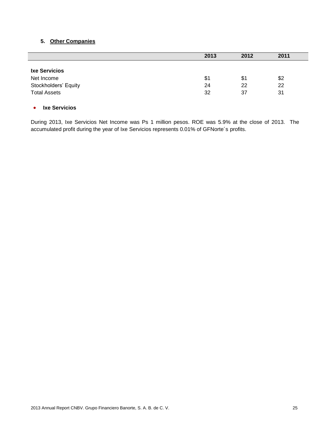#### **5. Other Companies**

|                      | 2013 | 2012 | 2011 |
|----------------------|------|------|------|
| <b>Ixe Servicios</b> |      |      |      |
| Net Income           | \$1  | \$1  | \$2  |
| Stockholders' Equity | 24   | 22   | 22   |
| <b>Total Assets</b>  | 32   | 37   | 31   |

#### **Ixe Servicios**

During 2013, Ixe Servicios Net Income was Ps 1 million pesos. ROE was 5.9% at the close of 2013. The accumulated profit during the year of Ixe Servicios represents 0.01% of GFNorte´s profits.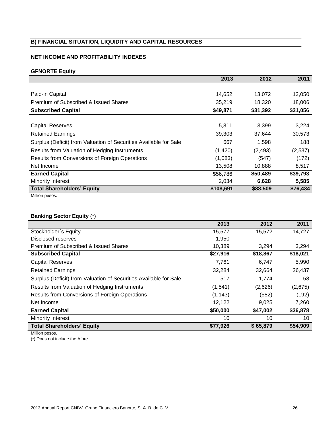#### **B) FINANCIAL SITUATION, LIQUIDITY AND CAPITAL RESOURCES**

#### **NET INCOME AND PROFITABILITY INDEXES**

#### **GFNORTE Equity**

|                                                                   | 2013      | 2012     | 2011     |
|-------------------------------------------------------------------|-----------|----------|----------|
|                                                                   |           |          |          |
| Paid-in Capital                                                   | 14,652    | 13,072   | 13,050   |
| Premium of Subscribed & Issued Shares                             | 35,219    | 18.320   | 18,006   |
| <b>Subscribed Capital</b>                                         | \$49,871  | \$31,392 | \$31,056 |
|                                                                   |           |          |          |
| Capital Reserves                                                  | 5,811     | 3,399    | 3,224    |
| <b>Retained Earnings</b>                                          | 39,303    | 37,644   | 30,573   |
| Surplus (Deficit) from Valuation of Securities Available for Sale | 667       | 1,598    | 188      |
| Results from Valuation of Hedging Instruments                     | (1,420)   | (2, 493) | (2,537)  |
| Results from Conversions of Foreign Operations                    | (1,083)   | (547)    | (172)    |
| Net Income                                                        | 13,508    | 10,888   | 8,517    |
| <b>Earned Capital</b>                                             | \$56,786  | \$50,489 | \$39,793 |
| Minority Interest                                                 | 2,034     | 6,628    | 5,585    |
| <b>Total Shareholders' Equity</b>                                 | \$108,691 | \$88,509 | \$76,434 |
| Million pesos.                                                    |           |          |          |

#### **Banking Sector Equity** (\*)

|                                                                   | 2013     | 2012     | 2011     |
|-------------------------------------------------------------------|----------|----------|----------|
| Stockholder's Equity                                              | 15,577   | 15,572   | 14,727   |
| Disclosed reserves                                                | 1,950    |          |          |
| Premium of Subscribed & Issued Shares                             | 10.389   | 3.294    | 3,294    |
| <b>Subscribed Capital</b>                                         | \$27,916 | \$18,867 | \$18,021 |
| <b>Capital Reserves</b>                                           | 7,761    | 6,747    | 5,990    |
| <b>Retained Earnings</b>                                          | 32,284   | 32,664   | 26,437   |
| Surplus (Deficit) from Valuation of Securities Available for Sale | 517      | 1,774    | 58       |
| Results from Valuation of Hedging Instruments                     | (1,541)  | (2,626)  | (2,675)  |
| Results from Conversions of Foreign Operations                    | (1, 143) | (582)    | (192)    |
| Net Income                                                        | 12,122   | 9,025    | 7,260    |
| <b>Earned Capital</b>                                             | \$50,000 | \$47,002 | \$36,878 |
| Minority Interest                                                 | 10       | 10       | 10       |
| <b>Total Shareholders' Equity</b>                                 | \$77,926 | \$65,879 | \$54,909 |

Million pesos.

(\*) Does not include the Afore.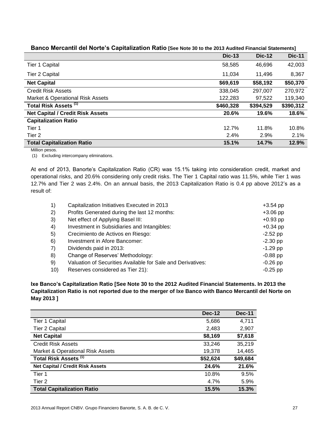|                                             | <b>Dic-13</b> | <b>Dic-12</b> | <b>Dic-11</b> |
|---------------------------------------------|---------------|---------------|---------------|
| Tier 1 Capital                              | 58,585        | 46,696        | 42,003        |
| Tier 2 Capital                              | 11,034        | 11,496        | 8,367         |
| <b>Net Capital</b>                          | \$69,619      | \$58,192      | \$50,370      |
| <b>Credit Risk Assets</b>                   | 338.045       | 297.007       | 270,972       |
| <b>Market &amp; Operational Risk Assets</b> | 122,283       | 97,522        | 119,340       |
| Total Risk Assets <sup>(1)</sup>            | \$460,328     | \$394,529     | \$390,312     |
| <b>Net Capital / Credit Risk Assets</b>     | 20.6%         | 19.6%         | 18.6%         |
| <b>Capitalization Ratio</b>                 |               |               |               |
| Tier 1                                      | 12.7%         | 11.8%         | 10.8%         |
| Tier 2                                      | 2.4%          | 2.9%          | 2.1%          |
| <b>Total Capitalization Ratio</b>           | 15.1%         | 14.7%         | 12.9%         |

#### **Banco Mercantil del Norte's Capitalization Ratio [See Note 30 to the 2013 Audited Financial Statements]**

Million pesos.

(1) Excluding intercompany eliminations.

At end of 2013, Banorte's Capitalization Ratio (CR) was 15.1% taking into consideration credit, market and operational risks, and 20.6% considering only credit risks. The Tier 1 Capital ratio was 11.5%, while Tier 1 was 12.7% and Tier 2 was 2.4%. On an annual basis, the 2013 Capitalization Ratio is 0.4 pp above 2012's as a result of:

| 1)  | Capitalization Initiatives Executed in 2013                 | $+3.54$ pp |
|-----|-------------------------------------------------------------|------------|
| 2)  | Profits Generated during the last 12 months:                | $+3.06$ pp |
| 3)  | Net effect of Applying Basel III:                           | $+0.93$ pp |
| 4)  | Investment in Subsidiaries and Intangibles:                 | $+0.34$ pp |
| 5)  | Crecimiento de Activos en Riesgo:                           | $-2.52$ pp |
| 6)  | Investment in Afore Bancomer:                               | $-2.30$ pp |
| 7)  | Dividends paid in 2013:                                     | $-1.29$ pp |
| 8)  | Change of Reserves' Methodology:                            | $-0.88$ pp |
| 9)  | Valuation of Securities Available for Sale and Derivatives: | $-0.26$ pp |
| 10) | Reserves considered as Tier 21):                            | $-0.25$ pp |

#### **Ixe Banco's Capitalization Ratio [See Note 30 to the 2012 Audited Financial Statements. In 2013 the Capitalization Ratio is not reported due to the merger of Ixe Banco with Banco Mercantil del Norte on May 2013 ]**

|                                         | <b>Dec-12</b> | <b>Dec-11</b> |
|-----------------------------------------|---------------|---------------|
| <b>Tier 1 Capital</b>                   | 5,686         | 4,711         |
| <b>Tier 2 Capital</b>                   | 2,483         | 2,907         |
| <b>Net Capital</b>                      | \$8,169       | \$7,618       |
| <b>Credit Risk Assets</b>               | 33,246        | 35,219        |
| Market & Operational Risk Assets        | 19,378        | 14,465        |
| Total Risk Assets <sup>(1)</sup>        | \$52,624      | \$49,684      |
| <b>Net Capital / Credit Risk Assets</b> | 24.6%         | 21.6%         |
| Tier 1                                  | 10.8%         | 9.5%          |
| Tier 2                                  | 4.7%          | 5.9%          |
| <b>Total Capitalization Ratio</b>       | 15.5%         | 15.3%         |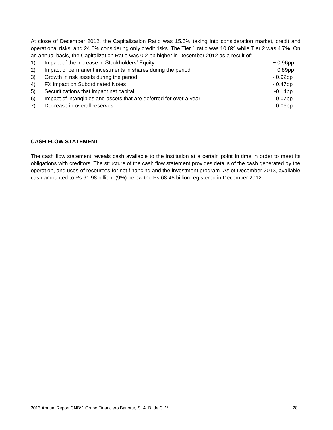At close of December 2012, the Capitalization Ratio was 15.5% taking into consideration market, credit and operational risks, and 24.6% considering only credit risks. The Tier 1 ratio was 10.8% while Tier 2 was 4.7%. On an annual basis, the Capitalization Ratio was 0.2 pp higher in December 2012 as a result of:

| $\left( \begin{matrix} 1 \end{matrix} \right)$ | Impact of the increase in Stockholders' Equity                     | $+0.96$ pp |
|------------------------------------------------|--------------------------------------------------------------------|------------|
| 2)                                             | Impact of permanent investments in shares during the period        | $+0.89$ pp |
| 3)                                             | Growth in risk assets during the period                            | $-0.92$ pp |
|                                                | 4) FX impact on Subordinated Notes                                 | $-0.47$ pp |
| 5)                                             | Securitizations that impact net capital                            | $-0.14$ pp |
| 6)                                             | Impact of intangibles and assets that are deferred for over a year | $-0.07$ pp |
| 7)                                             | Decrease in overall reserves                                       | $-0.06$ pp |

#### **CASH FLOW STATEMENT**

The cash flow statement reveals cash available to the institution at a certain point in time in order to meet its obligations with creditors. The structure of the cash flow statement provides details of the cash generated by the operation, and uses of resources for net financing and the investment program. As of December 2013, available cash amounted to Ps 61.98 billion, (9%) below the Ps 68.48 billion registered in December 2012.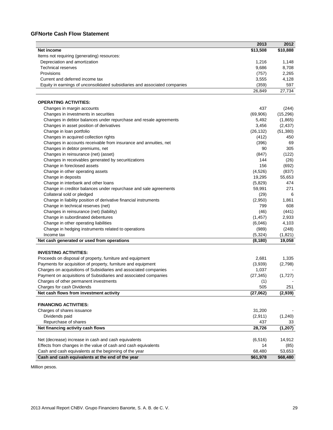#### **GFNorte Cash Flow Statement**

|                                                                            | 2013           | 2012      |
|----------------------------------------------------------------------------|----------------|-----------|
| Net income                                                                 | \$13,508       | \$10,888  |
| Items not requiring (generating) resources:                                |                |           |
| Depreciation and amortization                                              | 1,216          | 1,148     |
| <b>Technical reserves</b>                                                  | 9,686          | 8,708     |
| Provisions                                                                 | (757)          | 2,265     |
| Current and deferred income tax                                            | 3,555          | 4,128     |
| Equity in earnings of unconsolidated subsidiaries and associated companies | (359)          | 597       |
|                                                                            | 26,849         | 27,734    |
| <b>OPERATING ACTIVITIES:</b>                                               |                |           |
| Changes in margin accounts                                                 | 437            | (244)     |
| Changes in investments in securities                                       | (69, 906)      | (15, 296) |
| Changes in debtor balances under repurchase and resale agreements          | 5,492          | (1,865)   |
| Changes in asset position of derivatives                                   | 3,456          | (2, 437)  |
| Change in loan portfolio                                                   | (26, 132)      | (51, 380) |
| Changes in acquired collection rights                                      | (412)          | 450       |
| Changes in accounts receivable from insurance and annuities, net           | (396)          | 69        |
| Changes in debtor premiums, net                                            | 90             | 305       |
| Changes in reinsurance (net) (asset)                                       | (847)          | (122)     |
| Changes in receivables generated by securitizations                        | 144            | (26)      |
| Change in foreclosed assets                                                | 156            | (692)     |
| Change in other operating assets                                           | (4,526)        | (837)     |
| Change in deposits                                                         | 19,295         | 55,653    |
| Change in interbank and other loans                                        | (5,829)        | 474       |
| Change in creditor balances under repurchase and sale agreements           | 59,991         | 271       |
| Collateral sold or pledged                                                 |                | 6         |
|                                                                            | (29)           |           |
| Change in liability position of derivative financial instruments           | (2,950)<br>799 | 1,861     |
| Change in technical reserves (net)                                         |                | 608       |
| Changes in reinsurance (net) (liability)                                   | (46)           | (441)     |
| Change in subordinated debentures                                          | (1, 457)       | 2,933     |
| Change in other operating liabilities                                      | (6,046)        | 4,103     |
| Change in hedging instruments related to operations                        | (989)          | (248)     |
| Income tax                                                                 | (5,324)        | (1,821)   |
| Net cash generated or used from operations                                 | (8, 180)       | 19,058    |
| <b>INVESTING ACTIVITIES:</b>                                               |                |           |
| Proceeds on disposal of property, furniture and equipment                  | 2,681          | 1,335     |
| Payments for acquisition of property, furniture and equipment              | (3,939)        | (2,798)   |
| Charges on acquisitions of Subsidiaries and associated companies           | 1,037          |           |
| Payment on acquisitions of Subsidiaries and associated companies           | (27, 345)      | (1,727)   |
| Charges of other permanent investments                                     | (1)            |           |
| Charges for cash Dividends                                                 | 505            | 251       |
| Net cash flows from investment activity                                    | (27,062)       | (2,939)   |
| <b>FINANCING ACTIVITIES:</b>                                               |                |           |
| Charges of shares issuance                                                 | 31,200         |           |
| Dividends paid                                                             | (2,911)        | (1, 240)  |
| Repurchase of shares                                                       | 437            | 33        |
| Net financing activity cash flows                                          | 28,726         | (1, 207)  |
|                                                                            |                |           |
| Net (decrease) increase in cash and cash equivalents                       | (6, 516)       | 14,912    |
| Effects from changes in the value of cash and cash equivalents             | 14             | (85)      |
| Cash and cash equivalents at the beginning of the year                     | 68,480         | 53,653    |
| Cash and cash equivalents at the end of the year                           | \$61,978       | \$68,480  |

Million pesos.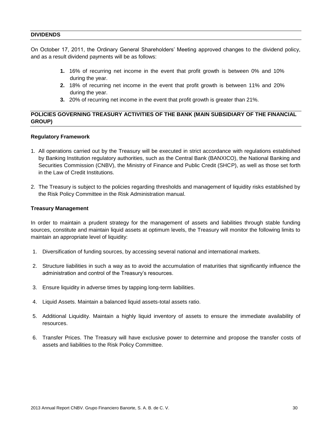#### **DIVIDENDS**

On October 17, 2011, the Ordinary General Shareholders' Meeting approved changes to the dividend policy, and as a result dividend payments will be as follows:

- **1.** 16% of recurring net income in the event that profit growth is between 0% and 10% during the year.
- **2.** 18% of recurring net income in the event that profit growth is between 11% and 20% during the year.
- **3.** 20% of recurring net income in the event that profit growth is greater than 21%.

#### **POLICIES GOVERNING TREASURY ACTIVITIES OF THE BANK (MAIN SUBSIDIARY OF THE FINANCIAL GROUP)**

#### **Regulatory Framework**

- 1. All operations carried out by the Treasury will be executed in strict accordance with regulations established by Banking Institution regulatory authorities, such as the Central Bank (BANXICO), the National Banking and Securities Commission (CNBV), the Ministry of Finance and Public Credit (SHCP), as well as those set forth in the Law of Credit Institutions.
- 2. The Treasury is subject to the policies regarding thresholds and management of liquidity risks established by the Risk Policy Committee in the Risk Administration manual.

#### **Treasury Management**

In order to maintain a prudent strategy for the management of assets and liabilities through stable funding sources, constitute and maintain liquid assets at optimum levels, the Treasury will monitor the following limits to maintain an appropriate level of liquidity:

- 1. Diversification of funding sources, by accessing several national and international markets.
- 2. Structure liabilities in such a way as to avoid the accumulation of maturities that significantly influence the administration and control of the Treasury's resources.
- 3. Ensure liquidity in adverse times by tapping long-term liabilities.
- 4. Liquid Assets. Maintain a balanced liquid assets-total assets ratio.
- 5. Additional Liquidity. Maintain a highly liquid inventory of assets to ensure the immediate availability of resources.
- 6. Transfer Prices. The Treasury will have exclusive power to determine and propose the transfer costs of assets and liabilities to the Risk Policy Committee.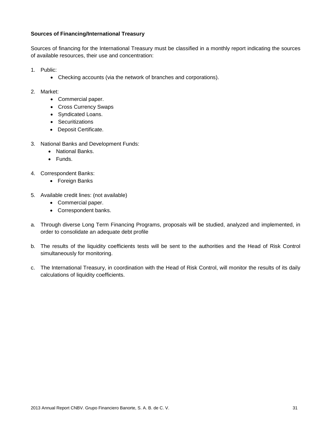#### **Sources of Financing/International Treasury**

Sources of financing for the International Treasury must be classified in a monthly report indicating the sources of available resources, their use and concentration:

- 1. Public:
	- Checking accounts (via the network of branches and corporations).
- 2. Market:
	- Commercial paper.
	- Cross Currency Swaps
	- Syndicated Loans.
	- Securitizations
	- Deposit Certificate.
- 3. National Banks and Development Funds:
	- National Banks.
	- Funds.
- 4. Correspondent Banks:
	- Foreign Banks
- 5. Available credit lines: (not available)
	- Commercial paper.
	- Correspondent banks.
- a. Through diverse Long Term Financing Programs, proposals will be studied, analyzed and implemented, in order to consolidate an adequate debt profile
- b. The results of the liquidity coefficients tests will be sent to the authorities and the Head of Risk Control simultaneously for monitoring.
- c. The International Treasury, in coordination with the Head of Risk Control, will monitor the results of its daily calculations of liquidity coefficients.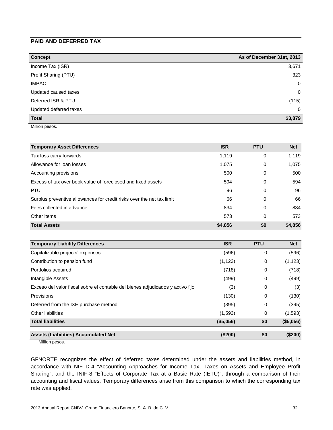#### **PAID AND DEFERRED TAX**

| <b>Concept</b>         | As of December 31st, 2013 |
|------------------------|---------------------------|
| Income Tax (ISR)       | 3,671                     |
| Profit Sharing (PTU)   | 323                       |
| <b>IMPAC</b>           | 0                         |
| Updated caused taxes   | 0                         |
| Deferred ISR & PTU     | (115)                     |
| Updated deferred taxes | 0                         |
| <b>Total</b>           | \$3,879                   |

Million pesos.

| <b>Temporary Asset Differences</b>                                    | <b>ISR</b> | <b>PTU</b> | <b>Net</b> |
|-----------------------------------------------------------------------|------------|------------|------------|
| Tax loss carry forwards                                               | 1,119      | 0          | 1,119      |
| Allowance for loan losses                                             | 1,075      | 0          | 1,075      |
| Accounting provisions                                                 | 500        | 0          | 500        |
| Excess of tax over book value of foreclosed and fixed assets          | 594        | 0          | 594        |
| <b>PTU</b>                                                            | 96         | 0          | 96         |
| Surplus preventive allowances for credit risks over the net tax limit | 66         | 0          | 66         |
| Fees collected in advance                                             | 834        | 0          | 834        |
| Other items                                                           | 573        | 0          | 573        |
| <b>Total Assets</b>                                                   | \$4,856    | \$0        | \$4,856    |

| <b>Temporary Liability Differences</b>                                         | <b>ISR</b> | <b>PTU</b> | <b>Net</b> |
|--------------------------------------------------------------------------------|------------|------------|------------|
| Capitalizable projects' expenses                                               | (596)      | 0          | (596)      |
| Contribution to pension fund                                                   | (1, 123)   | 0          | (1, 123)   |
| Portfolios acquired                                                            | (718)      | 0          | (718)      |
| Intangible Assets                                                              | (499)      | 0          | (499)      |
| Exceso del valor fiscal sobre el contable del bienes adjudicados y activo fijo | (3)        | 0          | (3)        |
| Provisions                                                                     | (130)      | 0          | (130)      |
| Deferred from the IXE purchase method                                          | (395)      | 0          | (395)      |
| Other liabilities                                                              | (1,593)    | 0          | (1,593)    |
| <b>Total liabilities</b>                                                       | (\$5,056)  | \$0        | (\$5,056)  |
| <b>Assets (Liabilities) Accumulated Net</b>                                    | (\$200)    | \$0        | (\$200)    |

Million pesos.

GFNORTE recognizes the effect of deferred taxes determined under the assets and liabilities method, in accordance with NIF D-4 "Accounting Approaches for Income Tax, Taxes on Assets and Employee Profit Sharing", and the INIF-8 "Effects of Corporate Tax at a Basic Rate (IETU)", through a comparison of their accounting and fiscal values. Temporary differences arise from this comparison to which the corresponding tax rate was applied.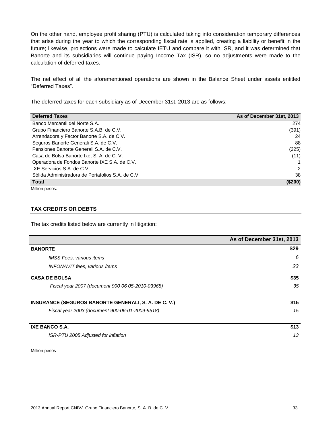On the other hand, employee profit sharing (PTU) is calculated taking into consideration temporary differences that arise during the year to which the corresponding fiscal rate is applied, creating a liability or benefit in the future; likewise, projections were made to calculate IETU and compare it with ISR, and it was determined that Banorte and its subsidiaries will continue paying Income Tax (ISR), so no adjustments were made to the calculation of deferred taxes.

The net effect of all the aforementioned operations are shown in the Balance Sheet under assets entitled "Deferred Taxes".

The deferred taxes for each subsidiary as of December 31st, 2013 are as follows:

| <b>Deferred Taxes</b>                             | As of December 31st, 2013 |
|---------------------------------------------------|---------------------------|
| Banco Mercantil del Norte S.A.                    | 274                       |
| Grupo Financiero Banorte S.A.B. de C.V.           | (391)                     |
| Arrendadora y Factor Banorte S.A. de C.V.         | 24                        |
| Seguros Banorte Generali S.A. de C.V.             | 88                        |
| Pensiones Banorte Generali S.A. de C.V.           | (225)                     |
| Casa de Bolsa Banorte Ixe, S. A. de C. V.         | (11)                      |
| Operadora de Fondos Banorte IXE S.A. de C.V.      |                           |
| IXE Servicios S.A. de C.V.                        | $\mathcal{P}$             |
| Sólida Administradora de Portafolios S.A. de C.V. | 38                        |
| <b>Total</b><br>.                                 | $(\$200)$                 |

Million pesos.

#### **TAX CREDITS OR DEBTS**

The tax credits listed below are currently in litigation:

|                                                      | As of December 31st, 2013 |
|------------------------------------------------------|---------------------------|
| <b>BANORTE</b>                                       | \$29                      |
| <b>IMSS Fees, various items</b>                      | 6                         |
| <b>INFONAVIT</b> fees, various items                 | 23                        |
| <b>CASA DE BOLSA</b>                                 | \$35                      |
| Fiscal year 2007 (document 900 06 05-2010-03968)     | 35                        |
| INSURANCE (SEGUROS BANORTE GENERALI, S. A. DE C. V.) | \$15                      |
| Fiscal year 2003 (document 900-06-01-2009-9518)      | 15                        |
| <b>IXE BANCO S.A.</b>                                | \$13                      |
| ISR-PTU 2005 Adjusted for inflation                  | 13                        |

Million pesos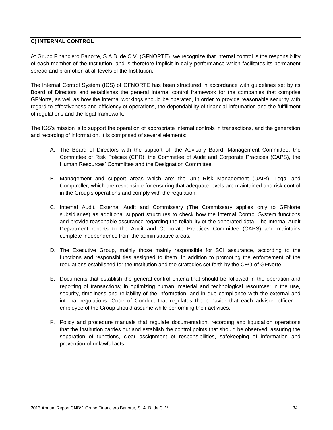#### **C) INTERNAL CONTROL**

At Grupo Financiero Banorte, S.A.B. de C.V. (GFNORTE), we recognize that internal control is the responsibility of each member of the Institution, and is therefore implicit in daily performance which facilitates its permanent spread and promotion at all levels of the Institution.

The Internal Control System (ICS) of GFNORTE has been structured in accordance with guidelines set by its Board of Directors and establishes the general internal control framework for the companies that comprise GFNorte, as well as how the internal workings should be operated, in order to provide reasonable security with regard to effectiveness and efficiency of operations, the dependability of financial information and the fulfillment of regulations and the legal framework.

The ICS's mission is to support the operation of appropriate internal controls in transactions, and the generation and recording of information. It is comprised of several elements:

- A. The Board of Directors with the support of: the Advisory Board, Management Committee, the Committee of Risk Policies (CPR), the Committee of Audit and Corporate Practices (CAPS), the Human Resources' Committee and the Designation Committee.
- B. Management and support areas which are: the Unit Risk Management (UAIR), Legal and Comptroller, which are responsible for ensuring that adequate levels are maintained and risk control in the Group's operations and comply with the regulation.
- C. Internal Audit, External Audit and Commissary (The Commissary applies only to GFNorte subsidiaries) as additional support structures to check how the Internal Control System functions and provide reasonable assurance regarding the reliability of the generated data. The Internal Audit Department reports to the Audit and Corporate Practices Committee (CAPS) and maintains complete independence from the administrative areas.
- D. The Executive Group, mainly those mainly responsible for SCI assurance, according to the functions and responsibilities assigned to them. In addition to promoting the enforcement of the regulations established for the Institution and the strategies set forth by the CEO of GFNorte.
- E. Documents that establish the general control criteria that should be followed in the operation and reporting of transactions; in optimizing human, material and technological resources; in the use, security, timeliness and reliability of the information; and in due compliance with the external and internal regulations. Code of Conduct that regulates the behavior that each advisor, officer or employee of the Group should assume while performing their activities.
- F. Policy and procedure manuals that regulate documentation, recording and liquidation operations that the Institution carries out and establish the control points that should be observed, assuring the separation of functions, clear assignment of responsibilities, safekeeping of information and prevention of unlawful acts.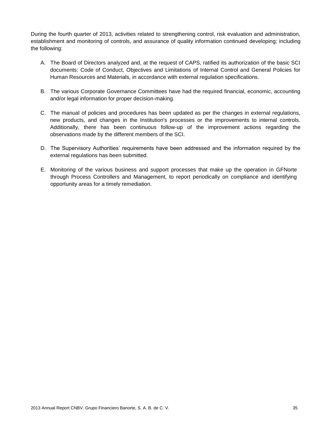During the fourth quarter of 2013, activities related to strengthening control, risk evaluation and administration, establishment and monitoring of controls, and assurance of quality information continued developing; including the following:

- A. The Board of Directors analyzed and, at the request of CAPS, ratified its authorization of the basic SCI documents: Code of Conduct, Objectives and Limitations of Internal Control and General Policies for Human Resources and Materials, in accordance with external regulation specifications.
- B. The various Corporate Governance Committees have had the required financial, economic, accounting and/or legal information for proper decision-making.
- C. The manual of policies and procedures has been updated as per the changes in external regulations, new products, and changes in the Institution's processes or the improvements to internal controls. Additionally, there has been continuous follow-up of the improvement actions regarding the observations made by the different members of the SCI.
- D. The Supervisory Authorities' requirements have been addressed and the information required by the external regulations has been submitted.
- E. Monitoring of the various business and support processes that make up the operation in GFNorte through Process Controllers and Management, to report periodically on compliance and identifying opportunity areas for a timely remediation.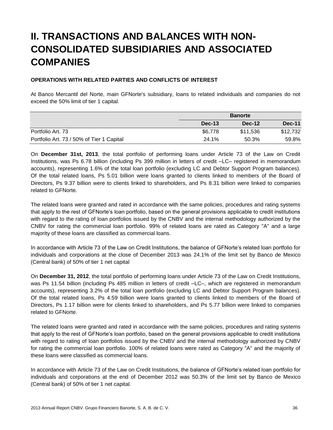## **II. TRANSACTIONS AND BALANCES WITH NON-CONSOLIDATED SUBSIDIARIES AND ASSOCIATED COMPANIES**

#### **OPERATIONS WITH RELATED PARTIES AND CONFLICTS OF INTEREST**

At Banco Mercantil del Norte, main GFNorte's subsidiary, loans to related individuals and companies do not exceed the 50% limit of tier 1 capital.

|                                           | <b>Banorte</b> |               |               |
|-------------------------------------------|----------------|---------------|---------------|
|                                           | Dec-13         | <b>Dec-12</b> | <b>Dec-11</b> |
| Portfolio Art. 73                         | \$6,778        | \$11.536      | \$12,732      |
| Portfolio Art. 73 / 50% of Tier 1 Capital | 24.1%          | 50.3%         | 59.8%         |

On **December 31st, 2013**, the total portfolio of performing loans under Article 73 of the Law on Credit Institutions, was Ps 6.78 billion (including Ps 399 million in letters of credit –LC– registered in memorandum accounts), representing 1.6% of the total loan portfolio (excluding LC and Debtor Support Program balances). Of the total related loans, Ps 5.01 billion were loans granted to clients linked to members of the Board of Directors, Ps 9.37 billion were to clients linked to shareholders, and Ps 8.31 billion were linked to companies related to GFNorte.

The related loans were granted and rated in accordance with the same policies, procedures and rating systems that apply to the rest of GFNorte's loan portfolio, based on the general provisions applicable to credit institutions with regard to the rating of loan portfolios issued by the CNBV and the internal methodology authorized by the CNBV for rating the commercial loan portfolio. 99% of related loans are rated as Category "A" and a large majority of these loans are classified as commercial loans.

In accordance with Article 73 of the Law on Credit Institutions, the balance of GFNorte's related loan portfolio for individuals and corporations at the close of December 2013 was 24.1% of the limit set by Banco de Mexico (Central bank) of 50% of tier 1 net capital

On **December 31, 2012**, the total portfolio of performing loans under Article 73 of the Law on Credit Institutions, was Ps 11.54 billion (including Ps 485 million in letters of credit –LC–, which are registered in memorandum accounts), representing 3.2% of the total loan portfolio (excluding LC and Debtor Support Program balances). Of the total related loans, Ps 4.59 billion were loans granted to clients linked to members of the Board of Directors, Ps 1.17 billion were for clients linked to shareholders, and Ps 5.77 billion were linked to companies related to GFNorte.

The related loans were granted and rated in accordance with the same policies, procedures and rating systems that apply to the rest of GFNorte's loan portfolio, based on the general provisions applicable to credit institutions with regard to rating of loan portfolios issued by the CNBV and the internal methodology authorized by CNBV for rating the commercial loan portfolio. 100% of related loans were rated as Category "A" and the majority of these loans were classified as commercial loans.

In accordance with Article 73 of the Law on Credit Institutions, the balance of GFNorte's related loan portfolio for individuals and corporations at the end of December 2012 was 50.3% of the limit set by Banco de Mexico (Central bank) of 50% of tier 1 net capital.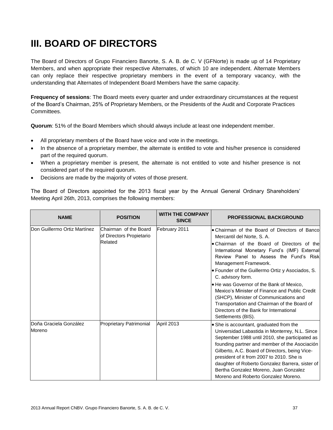# **III. BOARD OF DIRECTORS**

The Board of Directors of Grupo Financiero Banorte, S. A. B. de C. V (GFNorte) is made up of 14 Proprietary Members, and when appropriate their respective Alternates, of which 10 are independent. Alternate Members can only replace their respective proprietary members in the event of a temporary vacancy, with the understanding that Alternates of Independent Board Members have the same capacity.

**Frequency of sessions**: The Board meets every quarter and under extraordinary circumstances at the request of the Board's Chairman, 25% of Proprietary Members, or the Presidents of the Audit and Corporate Practices Committees.

**Quorum**: 51% of the Board Members which should always include at least one independent member.

- All proprietary members of the Board have voice and vote in the meetings.
- In the absence of a proprietary member, the alternate is entitled to vote and his/her presence is considered part of the required quorum.
- When a proprietary member is present, the alternate is not entitled to vote and his/her presence is not considered part of the required quorum.
- Decisions are made by the majority of votes of those present.

The Board of Directors appointed for the 2013 fiscal year by the Annual General Ordinary Shareholders' Meeting April 26th, 2013, comprises the following members:

| <b>NAME</b>                      | <b>POSITION</b>                                              | <b>WITH THE COMPANY</b><br><b>SINCE</b> | <b>PROFESSIONAL BACKGROUND</b>                                                                                                                                                                                                                                                                                                                                                                                                                                                                                                                                                  |
|----------------------------------|--------------------------------------------------------------|-----------------------------------------|---------------------------------------------------------------------------------------------------------------------------------------------------------------------------------------------------------------------------------------------------------------------------------------------------------------------------------------------------------------------------------------------------------------------------------------------------------------------------------------------------------------------------------------------------------------------------------|
| Don Guillermo Ortiz Martínez     | Chairman of the Board<br>of Directors Propietario<br>Related | February 2011                           | • Chairman of the Board of Directors of Bancol<br>Mercantil del Norte, S. A.<br>• Chairman of the Board of Directors of the<br>International Monetary Fund's (IMF) External<br>Review Panel to Assess the Fund's Risk<br>Management Framework.<br>• Founder of the Guillermo Ortiz y Asociados, S.<br>C. advisory form.<br>• He was Governor of the Bank of Mexico,<br>Mexico's Minister of Finance and Public Credit<br>(SHCP), Minister of Communications and<br>Transportation and Chairman of the Board of<br>Directors of the Bank for International<br>Settlements (BIS). |
| Doña Graciela González<br>Moreno | Proprietary Patrimonial                                      | April 2013                              | • She is accountant, graduated from the<br>Universidad Labastida in Monterrey, N.L. Since<br>September 1988 until 2010, she participated as<br>founding partner and member of the Asociación<br>Gilberto, A.C. Board of Directors, being Vice-<br>president of it from 2007 to 2010. She is<br>daughter of Roberto Gonzalez Barrera, sister of<br>Bertha Gonzalez Moreno, Juan Gonzalez<br>Moreno and Roberto Gonzalez Moreno.                                                                                                                                                  |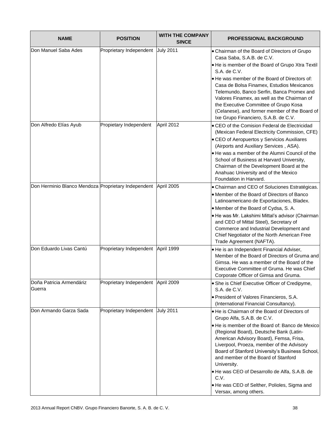| <b>NAME</b>                                                    | <b>POSITION</b>                    | <b>WITH THE COMPANY</b><br><b>SINCE</b> | <b>PROFESSIONAL BACKGROUND</b>                                                                                                                                                                                                                                                                                                                                                                                                                                                                               |
|----------------------------------------------------------------|------------------------------------|-----------------------------------------|--------------------------------------------------------------------------------------------------------------------------------------------------------------------------------------------------------------------------------------------------------------------------------------------------------------------------------------------------------------------------------------------------------------------------------------------------------------------------------------------------------------|
| Don Manuel Saba Ades                                           | Proprietary Independent            | <b>July 2011</b>                        | • Chairman of the Board of Directors of Grupo<br>Casa Saba, S.A.B. de C.V.<br>• He is member of the Board of Grupo Xtra Textil<br>S.A. de C.V.<br>. He was member of the Board of Directors of:<br>Casa de Bolsa Finamex, Estudios Mexicanos<br>Telemundo, Banco Serfin, Banca Promex and<br>Valores Finamex, as well as the Chairman of<br>the Executive Committee of Grupo Kosa<br>(Celanese), and former member of the Board of<br>Ixe Grupo Financiero, S.A.B. de C.V.                                   |
| Don Alfredo Elías Ayub                                         | Propietary Independent             | April 2012                              | • CEO of the Comision Federal de Electricidad<br>(Mexican Federal Electricity Commission, CFE)<br>• CEO of Aeropuertos y Servicios Auxiliares<br>(Airports and Auxiliary Services, ASA).<br>. He was a member of the Alumni Council of the<br>School of Business at Harvard University,<br>Chairman of the Development Board at the<br>Anahuac University and of the Mexico<br>Foundation in Harvard.                                                                                                        |
| Don Herminio Blanco Mendoza Proprietary Independent April 2005 |                                    |                                         | • Chairman and CEO of Soluciones Estratégicas.<br>• Member of the Board of Directors of Banco<br>Latinoamericano de Exportaciones, Bladex.<br>• Member of the Board of Cydsa, S. A.<br>· He was Mr. Lakshimi Mittal's advisor (Chairman<br>and CEO of Mittal Steel), Secretary of<br>Commerce and Industrial Development and<br>Chief Negotiator of the North American Free<br>Trade Agreement (NAFTA).                                                                                                      |
| Don Eduardo Livas Cantú                                        | Proprietary Independent            | April 1999                              | · He is an Independent Financial Adviser,<br>Member of the Board of Directors of Gruma and<br>Gimsa. He was a member of the Board of the<br>Executive Committee of Gruma. He was Chief<br>Corporate Officer of Gimsa and Gruma.                                                                                                                                                                                                                                                                              |
| Doña Patricia Armendáriz<br>Guerra                             | Proprietary Independent April 2009 |                                         | • She is Chief Executive Officer of Credipyme,<br>S.A. de C.V.<br>• President of Valores Financieros, S.A.<br>(International Financial Consultancy).                                                                                                                                                                                                                                                                                                                                                         |
| Don Armando Garza Sada                                         | Proprietary Independent            | <b>July 2011</b>                        | . He is Chairman of the Board of Directors of<br>Grupo Alfa, S.A.B. de C.V.<br>. He is member of the Board of: Banco de Mexico<br>(Regional Board), Deutsche Bank (Latin-<br>American Advisory Board), Femsa, Frisa,<br>Liverpool, Proeza, member of the Advisory<br>Board of Stanford University's Business School,<br>and member of the Board of Stanford<br>University.<br>. He was CEO of Desarrollo de Alfa, S.A.B. de<br>C.V.<br>. He was CEO of Selther, Polioles, Sigma and<br>Versax, among others. |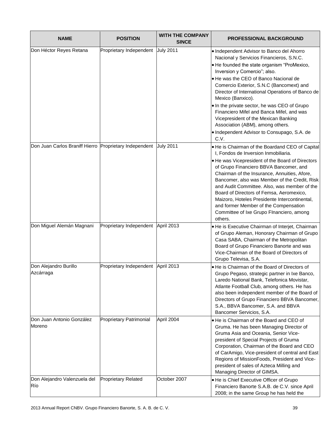| <b>NAME</b>                                            | <b>POSITION</b>            | <b>WITH THE COMPANY</b><br><b>SINCE</b> | <b>PROFESSIONAL BACKGROUND</b>                                                                                                                                                                                                                                                                                                                                                                                                                                                                                                                                     |
|--------------------------------------------------------|----------------------------|-----------------------------------------|--------------------------------------------------------------------------------------------------------------------------------------------------------------------------------------------------------------------------------------------------------------------------------------------------------------------------------------------------------------------------------------------------------------------------------------------------------------------------------------------------------------------------------------------------------------------|
| Don Héctor Reyes Retana                                | Proprietary Independent    | <b>July 2011</b>                        | • Independent Advisor to Banco del Ahorro<br>Nacional y Servicios Financieros, S.N.C.<br>. He founded the state organism "ProMexico,<br>Inversion y Comercio"; also.<br>. He was the CEO of Banco Nacional de<br>Comercio Exterior, S.N.C (Bancomext) and<br>Director of International Operations of Banco de<br>Mexico (Banxico).<br>. In the private sector, he was CEO of Grupo<br>Financiero Mifel and Banca Mifel, and was<br>Vicepresident of the Mexican Banking<br>Association (ABM), among others.<br>• Independent Advisor to Consupago, S.A. de<br>C.V. |
| Don Juan Carlos Braniff Hierro Proprietary Independent |                            | <b>July 2011</b>                        | . He is Chairman of the Boardand CEO of Capital<br>I, Fondos de Inversion Inmobiliaria.<br>• He was Vicepresident of the Board of Directors<br>of Grupo Financiero BBVA Bancomer, and<br>Chairman of the Insurance, Annuities, Afore,<br>Bancomer, also was Member of the Credit, Risk<br>and Audit Committee. Also, was member of the<br>Board of Directors of Femsa, Aeromexico,<br>Maizoro, Hoteles Presidente Intercontinental,<br>and former Member of the Compensation<br>Committee of Ixe Grupo FInanciero, among<br>others.                                |
| Don Miguel Alemán Magnani                              | Proprietary Independent    | April 2013                              | . He is Executive Chairman of Interjet, Chairman<br>of Grupo Aleman, Honorary Chairman of Grupo<br>Casa SABA, Chairman of the Metropolitan<br>Board of Grupo Financiero Banorte and was<br>Vice-Chairman of the Board of Directors of<br>Grupo Televisa, S.A.                                                                                                                                                                                                                                                                                                      |
| Don Alejandro Burillo<br>Azcárraga                     | Proprietary Independent    | April 2013                              | . He is Chairman of the Board of Directors of<br>Grupo Pegaso, strategic partner in Ixe Banco,<br>Laredo National Bank, Telefonica Movistar,<br>Atlante Football Club, among others. He has<br>also been independent member of the Board of<br>Directors of Grupo Financiero BBVA Bancomer,<br>S.A., BBVA Bancomer, S.A. and BBVA<br>Bancomer Servicios, S.A.                                                                                                                                                                                                      |
| Don Juan Antonio González<br>Moreno                    | Proprietary Patrimonial    | April 2004                              | . He is Chairman of the Board and CEO of<br>Gruma. He has been Managing Director of<br>Gruma Asia and Oceania, Senior Vice-<br>president of Special Projects of Gruma<br>Corporation, Chairman of the Board and CEO<br>of CarAmigo, Vice-president of central and East<br>Regions of MissionFoods, President and Vice-<br>president of sales of Azteca Milling and<br>Managing Director of GIMSA.                                                                                                                                                                  |
| Don Alejandro Valenzuela del<br>Río                    | <b>Proprietary Related</b> | October 2007                            | • He is Chief Executive Officer of Grupo<br>Financiero Banorte S.A.B. de C.V. since April<br>2008; in the same Group he has held the                                                                                                                                                                                                                                                                                                                                                                                                                               |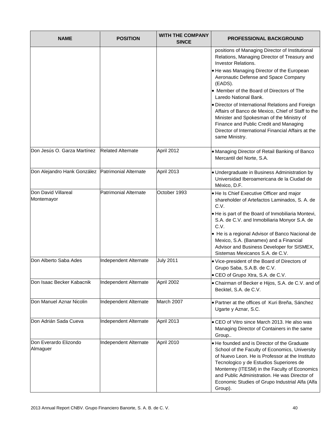| <b>NAME</b>                                       | <b>POSITION</b>          | <b>WITH THE COMPANY</b><br><b>SINCE</b> | <b>PROFESSIONAL BACKGROUND</b>                                                                                                                                                                                                                                                                                                                                                                                                                                                                                                                                                |
|---------------------------------------------------|--------------------------|-----------------------------------------|-------------------------------------------------------------------------------------------------------------------------------------------------------------------------------------------------------------------------------------------------------------------------------------------------------------------------------------------------------------------------------------------------------------------------------------------------------------------------------------------------------------------------------------------------------------------------------|
|                                                   |                          |                                         | positions of Managing Director of Institutional<br>Relations, Managing Director of Treasury and<br><b>Investor Relations.</b><br>. He was Managing Director of the European<br>Aeronautic Defense and Space Company<br>(EADS).<br>• Member of the Board of Directors of The<br>Laredo National Bank.<br>. Director of International Relations and Foreign<br>Affairs of Banco de Mexico, Chief of Staff to the<br>Minister and Spokesman of the Ministry of<br>Finance and Public Credit and Managing<br>Director of International Financial Affairs at the<br>same Ministry. |
| Don Jesús O. Garza Martínez                       | <b>Related Alternate</b> | April 2012                              | . Managing Director of Retail Banking of Banco<br>Mercantil del Norte, S.A.                                                                                                                                                                                                                                                                                                                                                                                                                                                                                                   |
| Don Alejandro Hank González Patrimonial Alternate |                          | April 2013                              | · Undergraduate in Business Administration by<br>Universidad Iberoamericana de la Ciudad de<br>México, D.F.                                                                                                                                                                                                                                                                                                                                                                                                                                                                   |
| Don David Villareal<br>Montemayor                 | Patrimonial Alternate    | October 1993                            | . He Is Chief Executive Officer and major<br>shareholder of Artefactos Laminados, S. A. de<br>C.V.<br>. He is part of the Board of Inmobiliaria Montevi,<br>S.A. de C.V. and Inmobiliaria Monyor S.A. de<br>C.V.<br>• He is a regional Advisor of Banco Nacional de<br>Mexico, S.A. (Banamex) and a Financial<br>Advisor and Business Developer for SISMEX,<br>Sistemas Mexicanos S.A. de C.V.                                                                                                                                                                                |
| Don Alberto Saba Ades                             | Independent Alternate    | <b>July 2011</b>                        | . Vice-president of the Board of Directors of<br>Grupo Saba, S.A.B. de C.V.<br>• CEO of Grupo Xtra, S.A. de C.V.                                                                                                                                                                                                                                                                                                                                                                                                                                                              |
| Don Isaac Becker Kabacnik                         | Independent Alternate    | April 2002                              | • Chairman of Becker e Hijos, S.A. de C.V. and of<br>Becktel, S.A. de C.V.                                                                                                                                                                                                                                                                                                                                                                                                                                                                                                    |
| Don Manuel Aznar Nicolin                          | Independent Alternate    | March 2007                              | · Partner at the offices of Kuri Breña, Sánchez<br>Ugarte y Aznar, S.C.                                                                                                                                                                                                                                                                                                                                                                                                                                                                                                       |
| Don Adrián Sada Cueva                             | Independent Alternate    | April 2013                              | • CEO of Vitro since March 2013. He also was<br>Managing Director of Containers in the same<br>Group                                                                                                                                                                                                                                                                                                                                                                                                                                                                          |
| Don Everardo Elizondo<br>Almaguer                 | Independent Alternate    | April 2010                              | • He founded and is Director of the Graduate<br>School of the Faculty of Economics, University<br>of Nuevo Leon. He is Professor at the Instituto<br>Tecnologico y de Estudios Superiores de<br>Monterrey (ITESM) in the Faculty of Economics<br>and Public Administration. He was Director of<br>Economic Studies of Grupo Industrial Alfa (Alfa<br>Group).                                                                                                                                                                                                                  |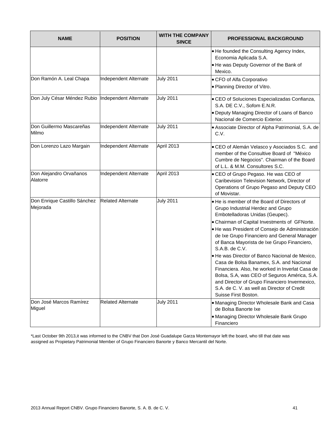| <b>NAME</b>                                        | <b>POSITION</b>          | <b>WITH THE COMPANY</b><br><b>SINCE</b> | <b>PROFESSIONAL BACKGROUND</b>                                                                                                                                                                                                                                                                                                                                                                                                                                                                                                                                                                                                                                   |
|----------------------------------------------------|--------------------------|-----------------------------------------|------------------------------------------------------------------------------------------------------------------------------------------------------------------------------------------------------------------------------------------------------------------------------------------------------------------------------------------------------------------------------------------------------------------------------------------------------------------------------------------------------------------------------------------------------------------------------------------------------------------------------------------------------------------|
|                                                    |                          |                                         | . He founded the Consulting Agency Index,<br>Economia Aplicada S.A.<br>. He was Deputy Governor of the Bank of<br>Mexico.                                                                                                                                                                                                                                                                                                                                                                                                                                                                                                                                        |
| Don Ramón A. Leal Chapa                            | Independent Alternate    | <b>July 2011</b>                        | • CFO of Alfa Corporativo<br>· Planning Director of Vitro.                                                                                                                                                                                                                                                                                                                                                                                                                                                                                                                                                                                                       |
| Don July César Méndez Rubio  Independent Alternate |                          | <b>July 2011</b>                        | • CEO of Soluciones Especializadas Confianza,<br>S.A. DE C.V., Sofom E.N.R.<br>. Deputy Managing Director of Loans of Banco<br>Nacional de Comercio Exterior.                                                                                                                                                                                                                                                                                                                                                                                                                                                                                                    |
| Don Guillermo Mascareñas<br>Milmo                  | Independent Alternate    | <b>July 2011</b>                        | • Associate Director of Alpha Patrimonial, S.A. de<br>C.V.                                                                                                                                                                                                                                                                                                                                                                                                                                                                                                                                                                                                       |
| Don Lorenzo Lazo Margain                           | Independent Alternate    | April 2013                              | · CEO of Alemán Velasco y Asociados S.C. and<br>member of the Consultive Board of "México"<br>Cumbre de Negocios". Chairman of the Board<br>of L.L. & M.M. Consultores S.C.                                                                                                                                                                                                                                                                                                                                                                                                                                                                                      |
| Don Alejandro Orvañanos<br>Alatorre                | Independent Alternate    | April 2013                              | • CEO of Grupo Pegaso. He was CEO of<br>Caribevision Television Network, Director of<br>Operations of Grupo Pegaso and Deputy CEO<br>of Movistar.                                                                                                                                                                                                                                                                                                                                                                                                                                                                                                                |
| Don Enrique Castillo Sánchez<br>Mejorada           | <b>Related Alternate</b> | <b>July 2011</b>                        | . He is member of the Board of Directors of<br>Grupo Industrial Herdez and Grupo<br>Embotelladoras Unidas (Geupec).<br>• Chairman of Capital Investments of GFNorte.<br>· He was President of Consejo de Administración<br>de Ixe Grupo Financiero and General Manager<br>of Banca Mayorista de Ixe Grupo Financiero,<br>S.A.B. de C.V.<br>· He was Director of Banco Nacional de Mexico,<br>Casa de Bolsa Banamex, S.A. and Nacional<br>Financiera. Also, he worked in Inverlat Casa de<br>Bolsa, S.A, was CEO of Seguros América, S.A.<br>and Director of Grupo Financiero Invermexico,<br>S.A. de C. V. as well as Director of Credit<br>Suisse First Boston. |
| Don José Marcos Ramírez<br>Miguel                  | <b>Related Alternate</b> | <b>July 2011</b>                        | . Managing Director Wholesale Bank and Casa<br>de Bolsa Banorte Ixe<br>• Managing Director Wholesale Bank Grupo<br>Financiero                                                                                                                                                                                                                                                                                                                                                                                                                                                                                                                                    |

\*Last October 9th 2013,it was informed to the CNBV that Don José Guadalupe Garza Montemayor left the board, who till that date was assigned as Propietary Patrimonial Member of Grupo Financiero Banorte y Banco Mercantil del Norte.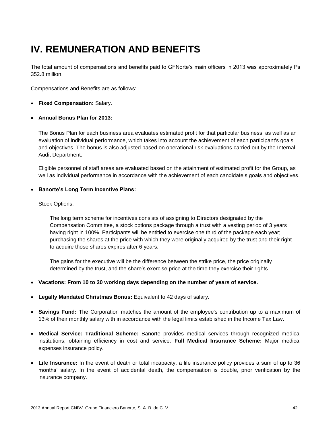## **IV. REMUNERATION AND BENEFITS**

The total amount of compensations and benefits paid to GFNorte's main officers in 2013 was approximately Ps 352.8 million.

Compensations and Benefits are as follows:

- **Fixed Compensation:** Salary.
- **Annual Bonus Plan for 2013:**

The Bonus Plan for each business area evaluates estimated profit for that particular business, as well as an evaluation of individual performance, which takes into account the achievement of each participant's goals and objectives. The bonus is also adjusted based on operational risk evaluations carried out by the Internal Audit Department.

Eligible personnel of staff areas are evaluated based on the attainment of estimated profit for the Group, as well as individual performance in accordance with the achievement of each candidate's goals and objectives.

#### **Banorte's Long Term Incentive Plans:**

#### Stock Options:

The long term scheme for incentives consists of assigning to Directors designated by the Compensation Committee, a stock options package through a trust with a vesting period of 3 years having right in 100%. Participants will be entitled to exercise one third of the package each year; purchasing the shares at the price with which they were originally acquired by the trust and their right to acquire those shares expires after 6 years.

The gains for the executive will be the difference between the strike price, the price originally determined by the trust, and the share's exercise price at the time they exercise their rights.

- **Vacations: From 10 to 30 working days depending on the number of years of service.**
- **Legally Mandated Christmas Bonus:** Equivalent to 42 days of salary.
- **Savings Fund:** The Corporation matches the amount of the employee's contribution up to a maximum of 13% of their monthly salary with in accordance with the legal limits established in the Income Tax Law.
- **Medical Service: Traditional Scheme:** Banorte provides medical services through recognized medical institutions, obtaining efficiency in cost and service. **Full Medical Insurance Scheme:** Major medical expenses insurance policy.
- **Life Insurance:** In the event of death or total incapacity, a life insurance policy provides a sum of up to 36 months' salary. In the event of accidental death, the compensation is double, prior verification by the insurance company.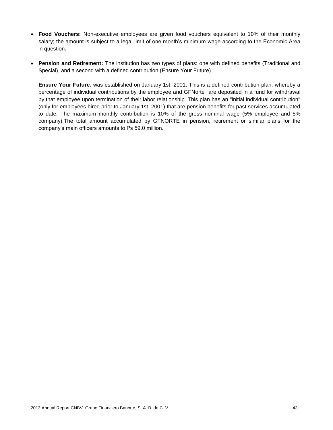- **Food Vouchers:** Non-executive employees are given food vouchers equivalent to 10% of their monthly salary; the amount is subject to a legal limit of one month's minimum wage according to the Economic Area in question**.**
- **Pension and Retirement:** The institution has two types of plans: one with defined benefits (Traditional and Special), and a second with a defined contribution (Ensure Your Future).

**Ensure Your Future**: was established on January 1st, 2001. This is a defined contribution plan, whereby a percentage of individual contributions by the employee and GFNorte are deposited in a fund for withdrawal by that employee upon termination of their labor relationship. This plan has an "initial individual contribution" (only for employees hired prior to January 1st, 2001) that are pension benefits for past services accumulated to date. The maximum monthly contribution is 10% of the gross nominal wage (5% employee and 5% company).The total amount accumulated by GFNORTE in pension, retirement or similar plans for the company's main officers amounts to Ps 59.0 million.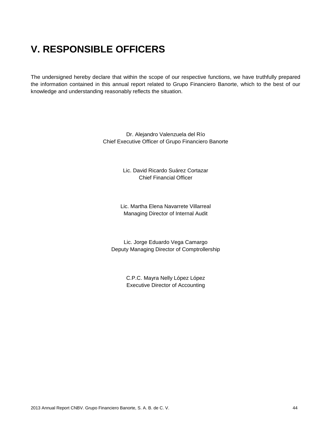### **V. RESPONSIBLE OFFICERS**

The undersigned hereby declare that within the scope of our respective functions, we have truthfully prepared the information contained in this annual report related to Grupo Financiero Banorte, which to the best of our knowledge and understanding reasonably reflects the situation.

> Dr. Alejandro Valenzuela del Río Chief Executive Officer of Grupo Financiero Banorte

> > Lic. David Ricardo Suárez Cortazar Chief Financial Officer

Lic. Martha Elena Navarrete Villarreal Managing Director of Internal Audit

Lic. Jorge Eduardo Vega Camargo Deputy Managing Director of Comptrollership

> C.P.C. Mayra Nelly López López Executive Director of Accounting